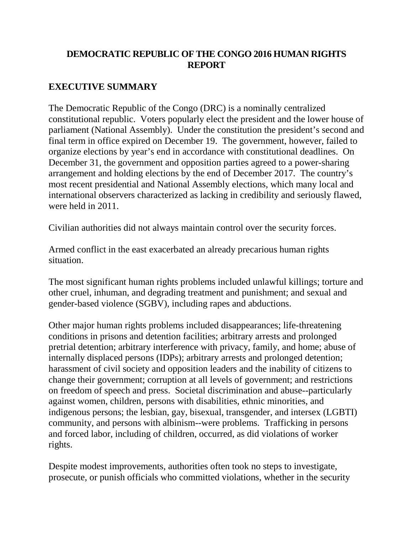## **DEMOCRATIC REPUBLIC OF THE CONGO 2016 HUMAN RIGHTS REPORT**

# **EXECUTIVE SUMMARY**

The Democratic Republic of the Congo (DRC) is a nominally centralized constitutional republic. Voters popularly elect the president and the lower house of parliament (National Assembly). Under the constitution the president's second and final term in office expired on December 19. The government, however, failed to organize elections by year's end in accordance with constitutional deadlines. On December 31, the government and opposition parties agreed to a power-sharing arrangement and holding elections by the end of December 2017. The country's most recent presidential and National Assembly elections, which many local and international observers characterized as lacking in credibility and seriously flawed, were held in 2011.

Civilian authorities did not always maintain control over the security forces.

Armed conflict in the east exacerbated an already precarious human rights situation.

The most significant human rights problems included unlawful killings; torture and other cruel, inhuman, and degrading treatment and punishment; and sexual and gender-based violence (SGBV), including rapes and abductions.

Other major human rights problems included disappearances; life-threatening conditions in prisons and detention facilities; arbitrary arrests and prolonged pretrial detention; arbitrary interference with privacy, family, and home; abuse of internally displaced persons (IDPs); arbitrary arrests and prolonged detention; harassment of civil society and opposition leaders and the inability of citizens to change their government; corruption at all levels of government; and restrictions on freedom of speech and press. Societal discrimination and abuse--particularly against women, children, persons with disabilities, ethnic minorities, and indigenous persons; the lesbian, gay, bisexual, transgender, and intersex (LGBTI) community, and persons with albinism--were problems. Trafficking in persons and forced labor, including of children, occurred, as did violations of worker rights.

Despite modest improvements, authorities often took no steps to investigate, prosecute, or punish officials who committed violations, whether in the security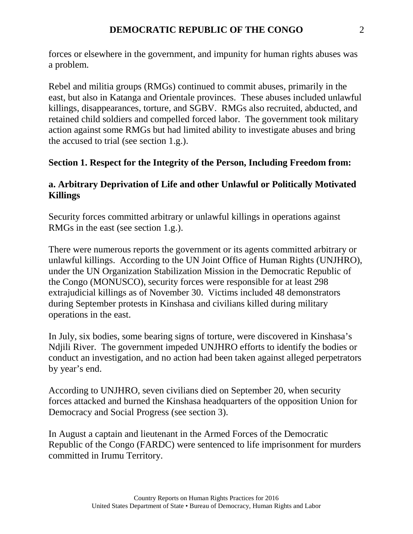forces or elsewhere in the government, and impunity for human rights abuses was a problem.

Rebel and militia groups (RMGs) continued to commit abuses, primarily in the east, but also in Katanga and Orientale provinces. These abuses included unlawful killings, disappearances, torture, and SGBV. RMGs also recruited, abducted, and retained child soldiers and compelled forced labor. The government took military action against some RMGs but had limited ability to investigate abuses and bring the accused to trial (see section 1.g.).

#### **Section 1. Respect for the Integrity of the Person, Including Freedom from:**

#### **a. Arbitrary Deprivation of Life and other Unlawful or Politically Motivated Killings**

Security forces committed arbitrary or unlawful killings in operations against RMGs in the east (see section 1.g.).

There were numerous reports the government or its agents committed arbitrary or unlawful killings. According to the UN Joint Office of Human Rights (UNJHRO), under the UN Organization Stabilization Mission in the Democratic Republic of the Congo (MONUSCO), security forces were responsible for at least 298 extrajudicial killings as of November 30. Victims included 48 demonstrators during September protests in Kinshasa and civilians killed during military operations in the east.

In July, six bodies, some bearing signs of torture, were discovered in Kinshasa's Ndjili River. The government impeded UNJHRO efforts to identify the bodies or conduct an investigation, and no action had been taken against alleged perpetrators by year's end.

According to UNJHRO, seven civilians died on September 20, when security forces attacked and burned the Kinshasa headquarters of the opposition Union for Democracy and Social Progress (see section 3).

In August a captain and lieutenant in the Armed Forces of the Democratic Republic of the Congo (FARDC) were sentenced to life imprisonment for murders committed in Irumu Territory.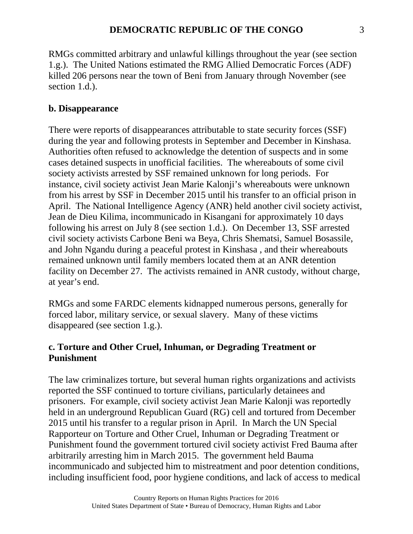RMGs committed arbitrary and unlawful killings throughout the year (see section 1.g.). The United Nations estimated the RMG Allied Democratic Forces (ADF) killed 206 persons near the town of Beni from January through November (see section 1.d.).

### **b. Disappearance**

There were reports of disappearances attributable to state security forces (SSF) during the year and following protests in September and December in Kinshasa. Authorities often refused to acknowledge the detention of suspects and in some cases detained suspects in unofficial facilities. The whereabouts of some civil society activists arrested by SSF remained unknown for long periods. For instance, civil society activist Jean Marie Kalonji's whereabouts were unknown from his arrest by SSF in December 2015 until his transfer to an official prison in April. The National Intelligence Agency (ANR) held another civil society activist, Jean de Dieu Kilima, incommunicado in Kisangani for approximately 10 days following his arrest on July 8 (see section 1.d.). On December 13, SSF arrested civil society activists Carbone Beni wa Beya, Chris Shematsi, Samuel Bosassile, and John Ngandu during a peaceful protest in Kinshasa , and their whereabouts remained unknown until family members located them at an ANR detention facility on December 27. The activists remained in ANR custody, without charge, at year's end.

RMGs and some FARDC elements kidnapped numerous persons, generally for forced labor, military service, or sexual slavery. Many of these victims disappeared (see section 1.g.).

### **c. Torture and Other Cruel, Inhuman, or Degrading Treatment or Punishment**

The law criminalizes torture, but several human rights organizations and activists reported the SSF continued to torture civilians, particularly detainees and prisoners. For example, civil society activist Jean Marie Kalonji was reportedly held in an underground Republican Guard (RG) cell and tortured from December 2015 until his transfer to a regular prison in April. In March the UN Special Rapporteur on Torture and Other Cruel, Inhuman or Degrading Treatment or Punishment found the government tortured civil society activist Fred Bauma after arbitrarily arresting him in March 2015. The government held Bauma incommunicado and subjected him to mistreatment and poor detention conditions, including insufficient food, poor hygiene conditions, and lack of access to medical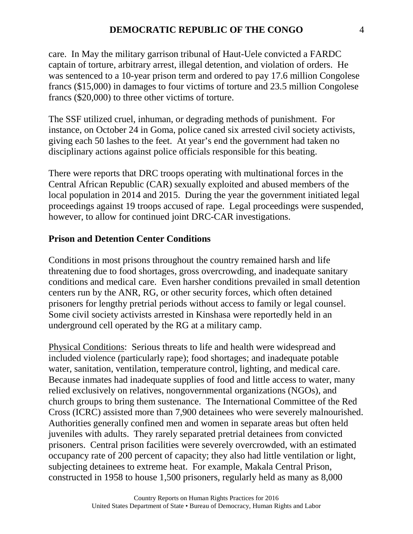care. In May the military garrison tribunal of Haut-Uele convicted a FARDC captain of torture, arbitrary arrest, illegal detention, and violation of orders. He was sentenced to a 10-year prison term and ordered to pay 17.6 million Congolese francs (\$15,000) in damages to four victims of torture and 23.5 million Congolese francs (\$20,000) to three other victims of torture.

The SSF utilized cruel, inhuman, or degrading methods of punishment. For instance, on October 24 in Goma, police caned six arrested civil society activists, giving each 50 lashes to the feet. At year's end the government had taken no disciplinary actions against police officials responsible for this beating.

There were reports that DRC troops operating with multinational forces in the Central African Republic (CAR) sexually exploited and abused members of the local population in 2014 and 2015. During the year the government initiated legal proceedings against 19 troops accused of rape. Legal proceedings were suspended, however, to allow for continued joint DRC-CAR investigations.

#### **Prison and Detention Center Conditions**

Conditions in most prisons throughout the country remained harsh and life threatening due to food shortages, gross overcrowding, and inadequate sanitary conditions and medical care. Even harsher conditions prevailed in small detention centers run by the ANR, RG, or other security forces, which often detained prisoners for lengthy pretrial periods without access to family or legal counsel. Some civil society activists arrested in Kinshasa were reportedly held in an underground cell operated by the RG at a military camp.

Physical Conditions: Serious threats to life and health were widespread and included violence (particularly rape); food shortages; and inadequate potable water, sanitation, ventilation, temperature control, lighting, and medical care. Because inmates had inadequate supplies of food and little access to water, many relied exclusively on relatives, nongovernmental organizations (NGOs), and church groups to bring them sustenance. The International Committee of the Red Cross (ICRC) assisted more than 7,900 detainees who were severely malnourished. Authorities generally confined men and women in separate areas but often held juveniles with adults. They rarely separated pretrial detainees from convicted prisoners. Central prison facilities were severely overcrowded, with an estimated occupancy rate of 200 percent of capacity; they also had little ventilation or light, subjecting detainees to extreme heat. For example, Makala Central Prison, constructed in 1958 to house 1,500 prisoners, regularly held as many as 8,000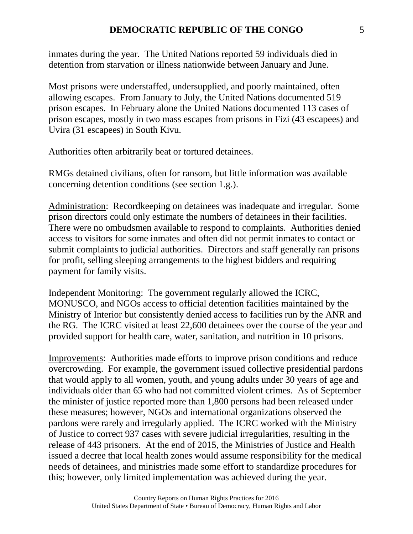inmates during the year. The United Nations reported 59 individuals died in detention from starvation or illness nationwide between January and June.

Most prisons were understaffed, undersupplied, and poorly maintained, often allowing escapes. From January to July, the United Nations documented 519 prison escapes. In February alone the United Nations documented 113 cases of prison escapes, mostly in two mass escapes from prisons in Fizi (43 escapees) and Uvira (31 escapees) in South Kivu.

Authorities often arbitrarily beat or tortured detainees.

RMGs detained civilians, often for ransom, but little information was available concerning detention conditions (see section 1.g.).

Administration: Recordkeeping on detainees was inadequate and irregular. Some prison directors could only estimate the numbers of detainees in their facilities. There were no ombudsmen available to respond to complaints. Authorities denied access to visitors for some inmates and often did not permit inmates to contact or submit complaints to judicial authorities. Directors and staff generally ran prisons for profit, selling sleeping arrangements to the highest bidders and requiring payment for family visits.

Independent Monitoring: The government regularly allowed the ICRC, MONUSCO, and NGOs access to official detention facilities maintained by the Ministry of Interior but consistently denied access to facilities run by the ANR and the RG. The ICRC visited at least 22,600 detainees over the course of the year and provided support for health care, water, sanitation, and nutrition in 10 prisons.

Improvements: Authorities made efforts to improve prison conditions and reduce overcrowding. For example, the government issued collective presidential pardons that would apply to all women, youth, and young adults under 30 years of age and individuals older than 65 who had not committed violent crimes. As of September the minister of justice reported more than 1,800 persons had been released under these measures; however, NGOs and international organizations observed the pardons were rarely and irregularly applied. The ICRC worked with the Ministry of Justice to correct 937 cases with severe judicial irregularities, resulting in the release of 443 prisoners. At the end of 2015, the Ministries of Justice and Health issued a decree that local health zones would assume responsibility for the medical needs of detainees, and ministries made some effort to standardize procedures for this; however, only limited implementation was achieved during the year.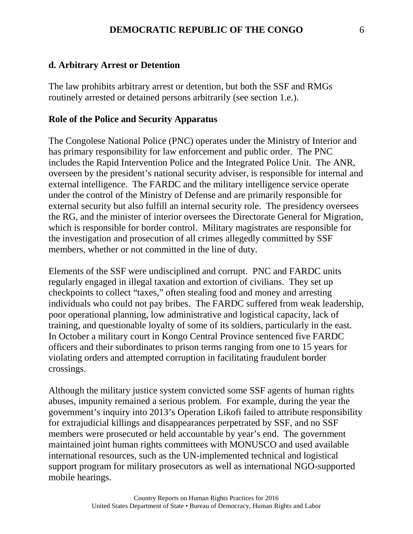#### **d. Arbitrary Arrest or Detention**

The law prohibits arbitrary arrest or detention, but both the SSF and RMGs routinely arrested or detained persons arbitrarily (see section 1.e.).

#### **Role of the Police and Security Apparatus**

The Congolese National Police (PNC) operates under the Ministry of Interior and has primary responsibility for law enforcement and public order. The PNC includes the Rapid Intervention Police and the Integrated Police Unit. The ANR, overseen by the president's national security adviser, is responsible for internal and external intelligence. The FARDC and the military intelligence service operate under the control of the Ministry of Defense and are primarily responsible for external security but also fulfill an internal security role. The presidency oversees the RG, and the minister of interior oversees the Directorate General for Migration, which is responsible for border control. Military magistrates are responsible for the investigation and prosecution of all crimes allegedly committed by SSF members, whether or not committed in the line of duty.

Elements of the SSF were undisciplined and corrupt. PNC and FARDC units regularly engaged in illegal taxation and extortion of civilians. They set up checkpoints to collect "taxes," often stealing food and money and arresting individuals who could not pay bribes. The FARDC suffered from weak leadership, poor operational planning, low administrative and logistical capacity, lack of training, and questionable loyalty of some of its soldiers, particularly in the east. In October a military court in Kongo Central Province sentenced five FARDC officers and their subordinates to prison terms ranging from one to 15 years for violating orders and attempted corruption in facilitating fraudulent border crossings.

Although the military justice system convicted some SSF agents of human rights abuses, impunity remained a serious problem. For example, during the year the government's inquiry into 2013's Operation Likofi failed to attribute responsibility for extrajudicial killings and disappearances perpetrated by SSF, and no SSF members were prosecuted or held accountable by year's end. The government maintained joint human rights committees with MONUSCO and used available international resources, such as the UN-implemented technical and logistical support program for military prosecutors as well as international NGO-supported mobile hearings.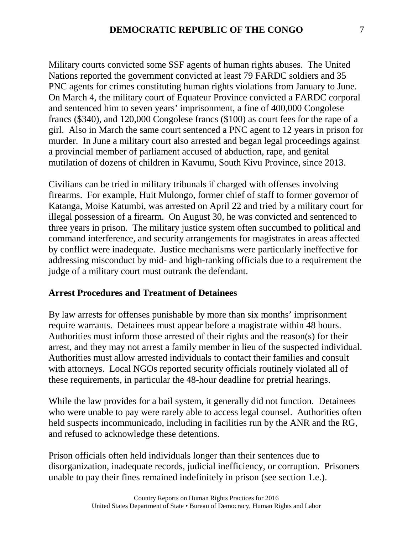Military courts convicted some SSF agents of human rights abuses. The United Nations reported the government convicted at least 79 FARDC soldiers and 35 PNC agents for crimes constituting human rights violations from January to June. On March 4, the military court of Equateur Province convicted a FARDC corporal and sentenced him to seven years' imprisonment, a fine of 400,000 Congolese francs (\$340), and 120,000 Congolese francs (\$100) as court fees for the rape of a girl. Also in March the same court sentenced a PNC agent to 12 years in prison for murder. In June a military court also arrested and began legal proceedings against a provincial member of parliament accused of abduction, rape, and genital mutilation of dozens of children in Kavumu, South Kivu Province, since 2013.

Civilians can be tried in military tribunals if charged with offenses involving firearms. For example, Huit Mulongo, former chief of staff to former governor of Katanga, Moise Katumbi, was arrested on April 22 and tried by a military court for illegal possession of a firearm. On August 30, he was convicted and sentenced to three years in prison. The military justice system often succumbed to political and command interference, and security arrangements for magistrates in areas affected by conflict were inadequate. Justice mechanisms were particularly ineffective for addressing misconduct by mid- and high-ranking officials due to a requirement the judge of a military court must outrank the defendant.

#### **Arrest Procedures and Treatment of Detainees**

By law arrests for offenses punishable by more than six months' imprisonment require warrants. Detainees must appear before a magistrate within 48 hours. Authorities must inform those arrested of their rights and the reason(s) for their arrest, and they may not arrest a family member in lieu of the suspected individual. Authorities must allow arrested individuals to contact their families and consult with attorneys. Local NGOs reported security officials routinely violated all of these requirements, in particular the 48-hour deadline for pretrial hearings.

While the law provides for a bail system, it generally did not function. Detainees who were unable to pay were rarely able to access legal counsel. Authorities often held suspects incommunicado, including in facilities run by the ANR and the RG, and refused to acknowledge these detentions.

Prison officials often held individuals longer than their sentences due to disorganization, inadequate records, judicial inefficiency, or corruption. Prisoners unable to pay their fines remained indefinitely in prison (see section 1.e.).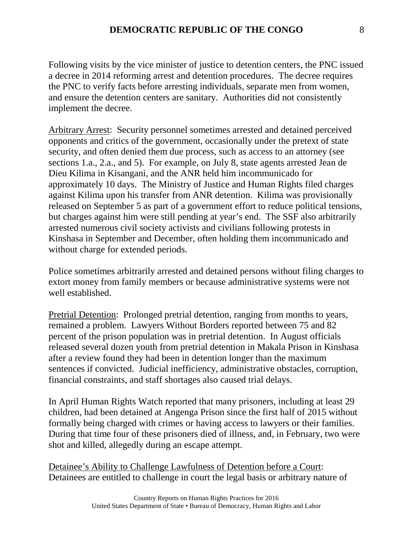Following visits by the vice minister of justice to detention centers, the PNC issued a decree in 2014 reforming arrest and detention procedures. The decree requires the PNC to verify facts before arresting individuals, separate men from women, and ensure the detention centers are sanitary. Authorities did not consistently implement the decree.

Arbitrary Arrest: Security personnel sometimes arrested and detained perceived opponents and critics of the government, occasionally under the pretext of state security, and often denied them due process, such as access to an attorney (see sections 1.a., 2.a., and 5). For example, on July 8, state agents arrested Jean de Dieu Kilima in Kisangani, and the ANR held him incommunicado for approximately 10 days. The Ministry of Justice and Human Rights filed charges against Kilima upon his transfer from ANR detention. Kilima was provisionally released on September 5 as part of a government effort to reduce political tensions, but charges against him were still pending at year's end. The SSF also arbitrarily arrested numerous civil society activists and civilians following protests in Kinshasa in September and December, often holding them incommunicado and without charge for extended periods.

Police sometimes arbitrarily arrested and detained persons without filing charges to extort money from family members or because administrative systems were not well established.

Pretrial Detention: Prolonged pretrial detention, ranging from months to years, remained a problem. Lawyers Without Borders reported between 75 and 82 percent of the prison population was in pretrial detention. In August officials released several dozen youth from pretrial detention in Makala Prison in Kinshasa after a review found they had been in detention longer than the maximum sentences if convicted. Judicial inefficiency, administrative obstacles, corruption, financial constraints, and staff shortages also caused trial delays.

In April Human Rights Watch reported that many prisoners, including at least 29 children, had been detained at Angenga Prison since the first half of 2015 without formally being charged with crimes or having access to lawyers or their families. During that time four of these prisoners died of illness, and, in February, two were shot and killed, allegedly during an escape attempt.

Detainee's Ability to Challenge Lawfulness of Detention before a Court: Detainees are entitled to challenge in court the legal basis or arbitrary nature of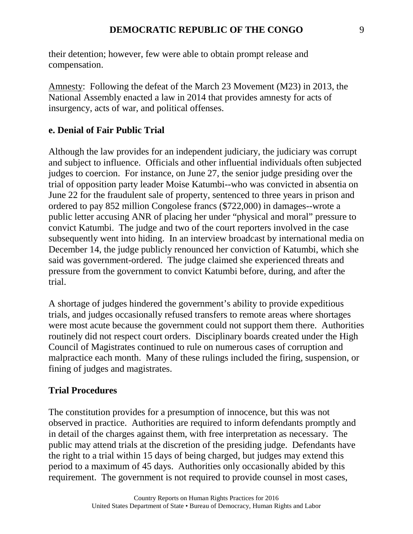their detention; however, few were able to obtain prompt release and compensation.

Amnesty: Following the defeat of the March 23 Movement (M23) in 2013, the National Assembly enacted a law in 2014 that provides amnesty for acts of insurgency, acts of war, and political offenses.

### **e. Denial of Fair Public Trial**

Although the law provides for an independent judiciary, the judiciary was corrupt and subject to influence. Officials and other influential individuals often subjected judges to coercion. For instance, on June 27, the senior judge presiding over the trial of opposition party leader Moise Katumbi--who was convicted in absentia on June 22 for the fraudulent sale of property, sentenced to three years in prison and ordered to pay 852 million Congolese francs (\$722,000) in damages--wrote a public letter accusing ANR of placing her under "physical and moral" pressure to convict Katumbi. The judge and two of the court reporters involved in the case subsequently went into hiding. In an interview broadcast by international media on December 14, the judge publicly renounced her conviction of Katumbi, which she said was government-ordered. The judge claimed she experienced threats and pressure from the government to convict Katumbi before, during, and after the trial.

A shortage of judges hindered the government's ability to provide expeditious trials, and judges occasionally refused transfers to remote areas where shortages were most acute because the government could not support them there. Authorities routinely did not respect court orders. Disciplinary boards created under the High Council of Magistrates continued to rule on numerous cases of corruption and malpractice each month. Many of these rulings included the firing, suspension, or fining of judges and magistrates.

## **Trial Procedures**

The constitution provides for a presumption of innocence, but this was not observed in practice. Authorities are required to inform defendants promptly and in detail of the charges against them, with free interpretation as necessary. The public may attend trials at the discretion of the presiding judge. Defendants have the right to a trial within 15 days of being charged, but judges may extend this period to a maximum of 45 days. Authorities only occasionally abided by this requirement. The government is not required to provide counsel in most cases,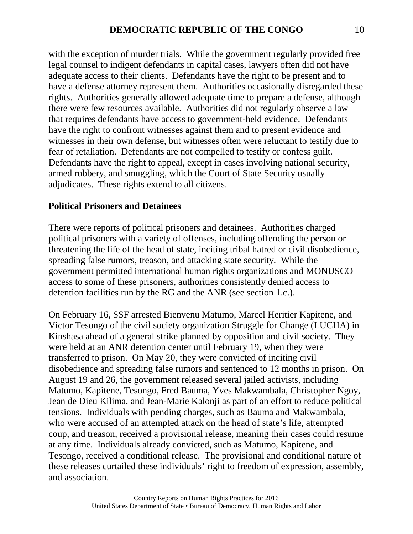with the exception of murder trials. While the government regularly provided free legal counsel to indigent defendants in capital cases, lawyers often did not have adequate access to their clients. Defendants have the right to be present and to have a defense attorney represent them. Authorities occasionally disregarded these rights. Authorities generally allowed adequate time to prepare a defense, although there were few resources available. Authorities did not regularly observe a law that requires defendants have access to government-held evidence. Defendants have the right to confront witnesses against them and to present evidence and witnesses in their own defense, but witnesses often were reluctant to testify due to fear of retaliation. Defendants are not compelled to testify or confess guilt. Defendants have the right to appeal, except in cases involving national security, armed robbery, and smuggling, which the Court of State Security usually adjudicates. These rights extend to all citizens.

#### **Political Prisoners and Detainees**

There were reports of political prisoners and detainees. Authorities charged political prisoners with a variety of offenses, including offending the person or threatening the life of the head of state, inciting tribal hatred or civil disobedience, spreading false rumors, treason, and attacking state security. While the government permitted international human rights organizations and MONUSCO access to some of these prisoners, authorities consistently denied access to detention facilities run by the RG and the ANR (see section 1.c.).

On February 16, SSF arrested Bienvenu Matumo, Marcel Heritier Kapitene, and Victor Tesongo of the civil society organization Struggle for Change (LUCHA) in Kinshasa ahead of a general strike planned by opposition and civil society. They were held at an ANR detention center until February 19, when they were transferred to prison. On May 20, they were convicted of inciting civil disobedience and spreading false rumors and sentenced to 12 months in prison. On August 19 and 26, the government released several jailed activists, including Matumo, Kapitene, Tesongo, Fred Bauma, Yves Makwambala, Christopher Ngoy, Jean de Dieu Kilima, and Jean-Marie Kalonji as part of an effort to reduce political tensions. Individuals with pending charges, such as Bauma and Makwambala, who were accused of an attempted attack on the head of state's life, attempted coup, and treason, received a provisional release, meaning their cases could resume at any time. Individuals already convicted, such as Matumo, Kapitene, and Tesongo, received a conditional release. The provisional and conditional nature of these releases curtailed these individuals' right to freedom of expression, assembly, and association.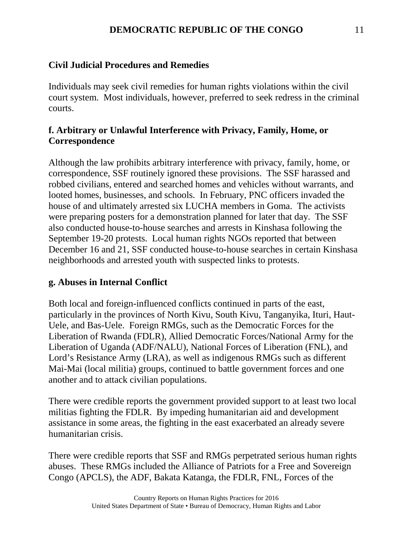### **DEMOCRATIC REPUBLIC OF THE CONGO** 11

### **Civil Judicial Procedures and Remedies**

Individuals may seek civil remedies for human rights violations within the civil court system. Most individuals, however, preferred to seek redress in the criminal courts.

## **f. Arbitrary or Unlawful Interference with Privacy, Family, Home, or Correspondence**

Although the law prohibits arbitrary interference with privacy, family, home, or correspondence, SSF routinely ignored these provisions. The SSF harassed and robbed civilians, entered and searched homes and vehicles without warrants, and looted homes, businesses, and schools. In February, PNC officers invaded the house of and ultimately arrested six LUCHA members in Goma. The activists were preparing posters for a demonstration planned for later that day. The SSF also conducted house-to-house searches and arrests in Kinshasa following the September 19-20 protests. Local human rights NGOs reported that between December 16 and 21, SSF conducted house-to-house searches in certain Kinshasa neighborhoods and arrested youth with suspected links to protests.

### **g. Abuses in Internal Conflict**

Both local and foreign-influenced conflicts continued in parts of the east, particularly in the provinces of North Kivu, South Kivu, Tanganyika, Ituri, Haut-Uele, and Bas-Uele. Foreign RMGs, such as the Democratic Forces for the Liberation of Rwanda (FDLR), Allied Democratic Forces/National Army for the Liberation of Uganda (ADF/NALU), National Forces of Liberation (FNL), and Lord's Resistance Army (LRA), as well as indigenous RMGs such as different Mai-Mai (local militia) groups, continued to battle government forces and one another and to attack civilian populations.

There were credible reports the government provided support to at least two local militias fighting the FDLR. By impeding humanitarian aid and development assistance in some areas, the fighting in the east exacerbated an already severe humanitarian crisis.

There were credible reports that SSF and RMGs perpetrated serious human rights abuses. These RMGs included the Alliance of Patriots for a Free and Sovereign Congo (APCLS), the ADF, Bakata Katanga, the FDLR, FNL, Forces of the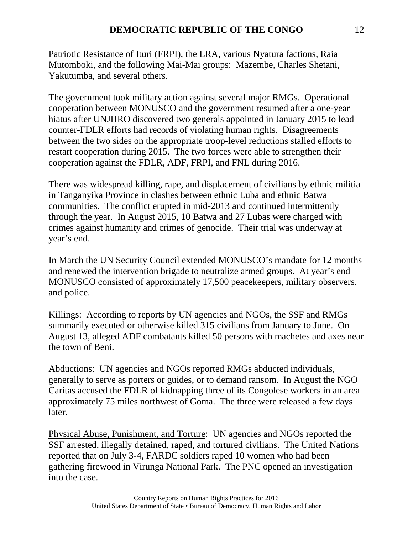Patriotic Resistance of Ituri (FRPI), the LRA, various Nyatura factions, Raia Mutomboki, and the following Mai-Mai groups: Mazembe, Charles Shetani, Yakutumba, and several others.

The government took military action against several major RMGs. Operational cooperation between MONUSCO and the government resumed after a one-year hiatus after UNJHRO discovered two generals appointed in January 2015 to lead counter-FDLR efforts had records of violating human rights. Disagreements between the two sides on the appropriate troop-level reductions stalled efforts to restart cooperation during 2015. The two forces were able to strengthen their cooperation against the FDLR, ADF, FRPI, and FNL during 2016.

There was widespread killing, rape, and displacement of civilians by ethnic militia in Tanganyika Province in clashes between ethnic Luba and ethnic Batwa communities. The conflict erupted in mid-2013 and continued intermittently through the year. In August 2015, 10 Batwa and 27 Lubas were charged with crimes against humanity and crimes of genocide. Their trial was underway at year's end.

In March the UN Security Council extended MONUSCO's mandate for 12 months and renewed the intervention brigade to neutralize armed groups. At year's end MONUSCO consisted of approximately 17,500 peacekeepers, military observers, and police.

Killings: According to reports by UN agencies and NGOs, the SSF and RMGs summarily executed or otherwise killed 315 civilians from January to June. On August 13, alleged ADF combatants killed 50 persons with machetes and axes near the town of Beni.

Abductions: UN agencies and NGOs reported RMGs abducted individuals, generally to serve as porters or guides, or to demand ransom. In August the NGO Caritas accused the FDLR of kidnapping three of its Congolese workers in an area approximately 75 miles northwest of Goma. The three were released a few days later.

Physical Abuse, Punishment, and Torture: UN agencies and NGOs reported the SSF arrested, illegally detained, raped, and tortured civilians. The United Nations reported that on July 3-4, FARDC soldiers raped 10 women who had been gathering firewood in Virunga National Park. The PNC opened an investigation into the case.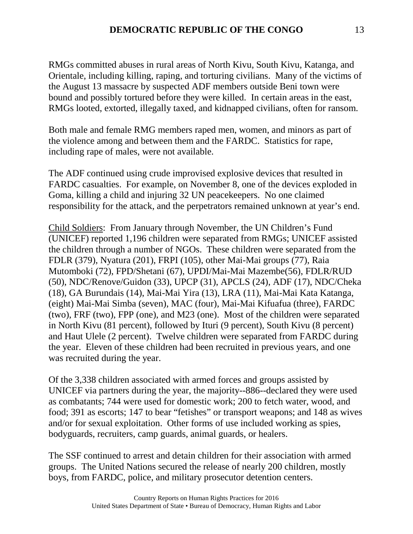RMGs committed abuses in rural areas of North Kivu, South Kivu, Katanga, and Orientale, including killing, raping, and torturing civilians. Many of the victims of the August 13 massacre by suspected ADF members outside Beni town were bound and possibly tortured before they were killed. In certain areas in the east, RMGs looted, extorted, illegally taxed, and kidnapped civilians, often for ransom.

Both male and female RMG members raped men, women, and minors as part of the violence among and between them and the FARDC. Statistics for rape, including rape of males, were not available.

The ADF continued using crude improvised explosive devices that resulted in FARDC casualties. For example, on November 8, one of the devices exploded in Goma, killing a child and injuring 32 UN peacekeepers. No one claimed responsibility for the attack, and the perpetrators remained unknown at year's end.

Child Soldiers: From January through November, the UN Children's Fund (UNICEF) reported 1,196 children were separated from RMGs; UNICEF assisted the children through a number of NGOs. These children were separated from the FDLR (379), Nyatura (201), FRPI (105), other Mai-Mai groups (77), Raia Mutomboki (72), FPD/Shetani (67), UPDI/Mai-Mai Mazembe(56), FDLR/RUD (50), NDC/Renove/Guidon (33), UPCP (31), APCLS (24), ADF (17), NDC/Cheka (18), GA Burundais (14), Mai-Mai Yira (13), LRA (11), Mai-Mai Kata Katanga, (eight) Mai-Mai Simba (seven), MAC (four), Mai-Mai Kifuafua (three), FARDC (two), FRF (two), FPP (one), and M23 (one). Most of the children were separated in North Kivu (81 percent), followed by Ituri (9 percent), South Kivu (8 percent) and Haut Ulele (2 percent). Twelve children were separated from FARDC during the year. Eleven of these children had been recruited in previous years, and one was recruited during the year.

Of the 3,338 children associated with armed forces and groups assisted by UNICEF via partners during the year, the majority--886--declared they were used as combatants; 744 were used for domestic work; 200 to fetch water, wood, and food; 391 as escorts; 147 to bear "fetishes" or transport weapons; and 148 as wives and/or for sexual exploitation. Other forms of use included working as spies, bodyguards, recruiters, camp guards, animal guards, or healers.

The SSF continued to arrest and detain children for their association with armed groups. The United Nations secured the release of nearly 200 children, mostly boys, from FARDC, police, and military prosecutor detention centers.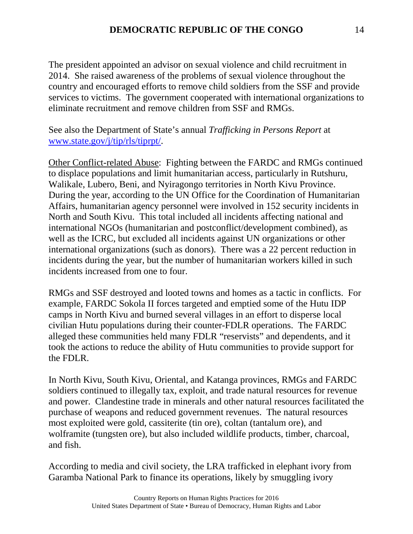The president appointed an advisor on sexual violence and child recruitment in 2014. She raised awareness of the problems of sexual violence throughout the country and encouraged efforts to remove child soldiers from the SSF and provide services to victims. The government cooperated with international organizations to eliminate recruitment and remove children from SSF and RMGs.

See also the Department of State's annual *Trafficking in Persons Report* at [www.state.gov/j/tip/rls/tiprpt/.](http://www.state.gov/j/tip/rls/tiprpt/)

Other Conflict-related Abuse: Fighting between the FARDC and RMGs continued to displace populations and limit humanitarian access, particularly in Rutshuru, Walikale, Lubero, Beni, and Nyiragongo territories in North Kivu Province. During the year, according to the UN Office for the Coordination of Humanitarian Affairs, humanitarian agency personnel were involved in 152 security incidents in North and South Kivu. This total included all incidents affecting national and international NGOs (humanitarian and postconflict/development combined), as well as the ICRC, but excluded all incidents against UN organizations or other international organizations (such as donors). There was a 22 percent reduction in incidents during the year, but the number of humanitarian workers killed in such incidents increased from one to four.

RMGs and SSF destroyed and looted towns and homes as a tactic in conflicts. For example, FARDC Sokola II forces targeted and emptied some of the Hutu IDP camps in North Kivu and burned several villages in an effort to disperse local civilian Hutu populations during their counter-FDLR operations. The FARDC alleged these communities held many FDLR "reservists" and dependents, and it took the actions to reduce the ability of Hutu communities to provide support for the FDLR.

In North Kivu, South Kivu, Oriental, and Katanga provinces, RMGs and FARDC soldiers continued to illegally tax, exploit, and trade natural resources for revenue and power. Clandestine trade in minerals and other natural resources facilitated the purchase of weapons and reduced government revenues. The natural resources most exploited were gold, cassiterite (tin ore), coltan (tantalum ore), and wolframite (tungsten ore), but also included wildlife products, timber, charcoal, and fish.

According to media and civil society, the LRA trafficked in elephant ivory from Garamba National Park to finance its operations, likely by smuggling ivory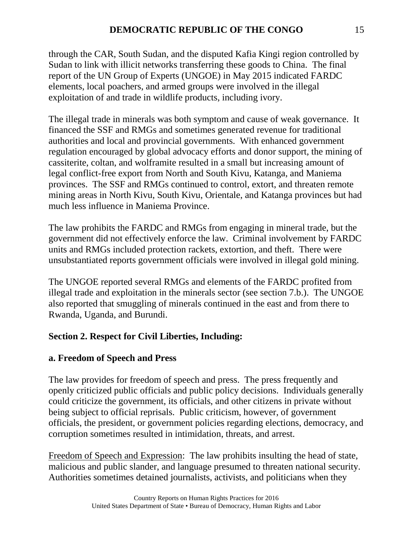through the CAR, South Sudan, and the disputed Kafia Kingi region controlled by Sudan to link with illicit networks transferring these goods to China. The final report of the UN Group of Experts (UNGOE) in May 2015 indicated FARDC elements, local poachers, and armed groups were involved in the illegal exploitation of and trade in wildlife products, including ivory.

The illegal trade in minerals was both symptom and cause of weak governance. It financed the SSF and RMGs and sometimes generated revenue for traditional authorities and local and provincial governments. With enhanced government regulation encouraged by global advocacy efforts and donor support, the mining of cassiterite, coltan, and wolframite resulted in a small but increasing amount of legal conflict-free export from North and South Kivu, Katanga, and Maniema provinces. The SSF and RMGs continued to control, extort, and threaten remote mining areas in North Kivu, South Kivu, Orientale, and Katanga provinces but had much less influence in Maniema Province.

The law prohibits the FARDC and RMGs from engaging in mineral trade, but the government did not effectively enforce the law. Criminal involvement by FARDC units and RMGs included protection rackets, extortion, and theft. There were unsubstantiated reports government officials were involved in illegal gold mining.

The UNGOE reported several RMGs and elements of the FARDC profited from illegal trade and exploitation in the minerals sector (see section 7.b.). The UNGOE also reported that smuggling of minerals continued in the east and from there to Rwanda, Uganda, and Burundi.

# **Section 2. Respect for Civil Liberties, Including:**

## **a. Freedom of Speech and Press**

The law provides for freedom of speech and press. The press frequently and openly criticized public officials and public policy decisions. Individuals generally could criticize the government, its officials, and other citizens in private without being subject to official reprisals. Public criticism, however, of government officials, the president, or government policies regarding elections, democracy, and corruption sometimes resulted in intimidation, threats, and arrest.

Freedom of Speech and Expression: The law prohibits insulting the head of state, malicious and public slander, and language presumed to threaten national security. Authorities sometimes detained journalists, activists, and politicians when they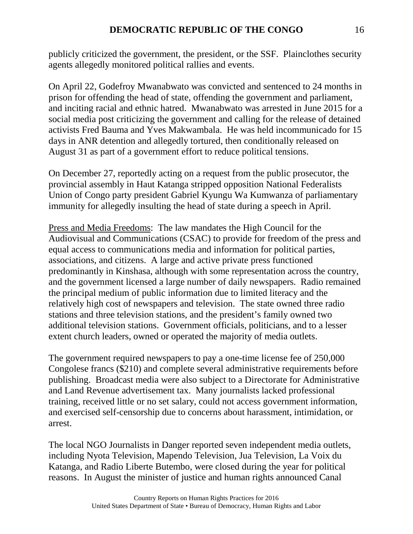publicly criticized the government, the president, or the SSF. Plainclothes security agents allegedly monitored political rallies and events.

On April 22, Godefroy Mwanabwato was convicted and sentenced to 24 months in prison for offending the head of state, offending the government and parliament, and inciting racial and ethnic hatred. Mwanabwato was arrested in June 2015 for a social media post criticizing the government and calling for the release of detained activists Fred Bauma and Yves Makwambala. He was held incommunicado for 15 days in ANR detention and allegedly tortured, then conditionally released on August 31 as part of a government effort to reduce political tensions.

On December 27, reportedly acting on a request from the public prosecutor, the provincial assembly in Haut Katanga stripped opposition National Federalists Union of Congo party president Gabriel Kyungu Wa Kumwanza of parliamentary immunity for allegedly insulting the head of state during a speech in April.

Press and Media Freedoms: The law mandates the High Council for the Audiovisual and Communications (CSAC) to provide for freedom of the press and equal access to communications media and information for political parties, associations, and citizens. A large and active private press functioned predominantly in Kinshasa, although with some representation across the country, and the government licensed a large number of daily newspapers. Radio remained the principal medium of public information due to limited literacy and the relatively high cost of newspapers and television. The state owned three radio stations and three television stations, and the president's family owned two additional television stations. Government officials, politicians, and to a lesser extent church leaders, owned or operated the majority of media outlets.

The government required newspapers to pay a one-time license fee of 250,000 Congolese francs (\$210) and complete several administrative requirements before publishing. Broadcast media were also subject to a Directorate for Administrative and Land Revenue advertisement tax. Many journalists lacked professional training, received little or no set salary, could not access government information, and exercised self-censorship due to concerns about harassment, intimidation, or arrest.

The local NGO Journalists in Danger reported seven independent media outlets, including Nyota Television, Mapendo Television, Jua Television, La Voix du Katanga, and Radio Liberte Butembo, were closed during the year for political reasons. In August the minister of justice and human rights announced Canal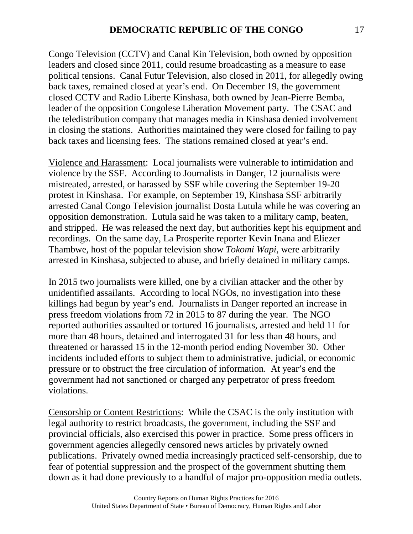Congo Television (CCTV) and Canal Kin Television, both owned by opposition leaders and closed since 2011, could resume broadcasting as a measure to ease political tensions. Canal Futur Television, also closed in 2011, for allegedly owing back taxes, remained closed at year's end. On December 19, the government closed CCTV and Radio Liberte Kinshasa, both owned by Jean-Pierre Bemba, leader of the opposition Congolese Liberation Movement party. The CSAC and the teledistribution company that manages media in Kinshasa denied involvement in closing the stations. Authorities maintained they were closed for failing to pay back taxes and licensing fees. The stations remained closed at year's end.

Violence and Harassment: Local journalists were vulnerable to intimidation and violence by the SSF. According to Journalists in Danger, 12 journalists were mistreated, arrested, or harassed by SSF while covering the September 19-20 protest in Kinshasa. For example, on September 19, Kinshasa SSF arbitrarily arrested Canal Congo Television journalist Dosta Lutula while he was covering an opposition demonstration. Lutula said he was taken to a military camp, beaten, and stripped. He was released the next day, but authorities kept his equipment and recordings. On the same day, La Prosperite reporter Kevin Inana and Eliezer Thambwe, host of the popular television show *Tokomi Wapi*, were arbitrarily arrested in Kinshasa, subjected to abuse, and briefly detained in military camps.

In 2015 two journalists were killed, one by a civilian attacker and the other by unidentified assailants. According to local NGOs, no investigation into these killings had begun by year's end. Journalists in Danger reported an increase in press freedom violations from 72 in 2015 to 87 during the year. The NGO reported authorities assaulted or tortured 16 journalists, arrested and held 11 for more than 48 hours, detained and interrogated 31 for less than 48 hours, and threatened or harassed 15 in the 12-month period ending November 30. Other incidents included efforts to subject them to administrative, judicial, or economic pressure or to obstruct the free circulation of information. At year's end the government had not sanctioned or charged any perpetrator of press freedom violations.

Censorship or Content Restrictions: While the CSAC is the only institution with legal authority to restrict broadcasts, the government, including the SSF and provincial officials, also exercised this power in practice. Some press officers in government agencies allegedly censored news articles by privately owned publications. Privately owned media increasingly practiced self-censorship, due to fear of potential suppression and the prospect of the government shutting them down as it had done previously to a handful of major pro-opposition media outlets.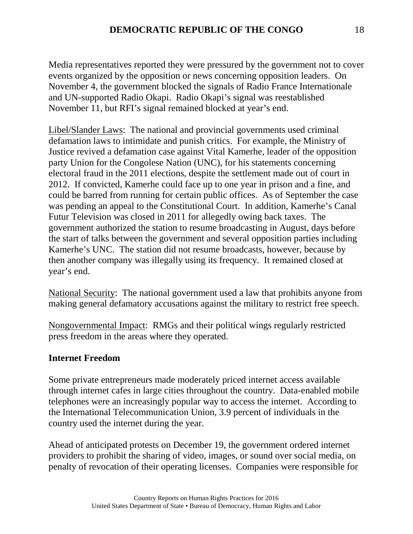Media representatives reported they were pressured by the government not to cover events organized by the opposition or news concerning opposition leaders. On November 4, the government blocked the signals of Radio France Internationale and UN-supported Radio Okapi. Radio Okapi's signal was reestablished November 11, but RFI's signal remained blocked at year's end.

Libel/Slander Laws: The national and provincial governments used criminal defamation laws to intimidate and punish critics. For example, the Ministry of Justice revived a defamation case against Vital Kamerhe, leader of the opposition party Union for the Congolese Nation (UNC), for his statements concerning electoral fraud in the 2011 elections, despite the settlement made out of court in 2012. If convicted, Kamerhe could face up to one year in prison and a fine, and could be barred from running for certain public offices. As of September the case was pending an appeal to the Constitutional Court. In addition, Kamerhe's Canal Futur Television was closed in 2011 for allegedly owing back taxes. The government authorized the station to resume broadcasting in August, days before the start of talks between the government and several opposition parties including Kamerhe's UNC. The station did not resume broadcasts, however, because by then another company was illegally using its frequency. It remained closed at year's end.

National Security: The national government used a law that prohibits anyone from making general defamatory accusations against the military to restrict free speech.

Nongovernmental Impact: RMGs and their political wings regularly restricted press freedom in the areas where they operated.

### **Internet Freedom**

Some private entrepreneurs made moderately priced internet access available through internet cafes in large cities throughout the country. Data-enabled mobile telephones were an increasingly popular way to access the internet. According to the International Telecommunication Union, 3.9 percent of individuals in the country used the internet during the year.

Ahead of anticipated protests on December 19, the government ordered internet providers to prohibit the sharing of video, images, or sound over social media, on penalty of revocation of their operating licenses. Companies were responsible for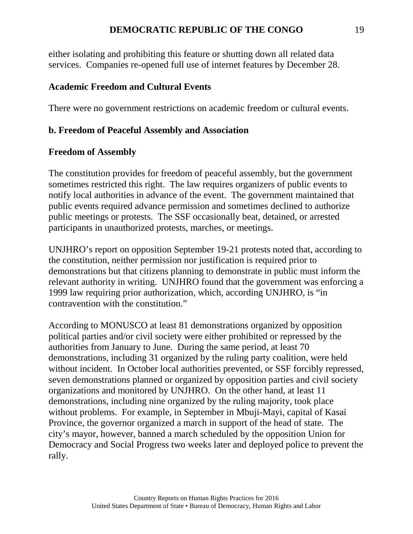### **DEMOCRATIC REPUBLIC OF THE CONGO** 19

either isolating and prohibiting this feature or shutting down all related data services. Companies re-opened full use of internet features by December 28.

#### **Academic Freedom and Cultural Events**

There were no government restrictions on academic freedom or cultural events.

#### **b. Freedom of Peaceful Assembly and Association**

#### **Freedom of Assembly**

The constitution provides for freedom of peaceful assembly, but the government sometimes restricted this right. The law requires organizers of public events to notify local authorities in advance of the event. The government maintained that public events required advance permission and sometimes declined to authorize public meetings or protests. The SSF occasionally beat, detained, or arrested participants in unauthorized protests, marches, or meetings.

UNJHRO's report on opposition September 19-21 protests noted that, according to the constitution, neither permission nor justification is required prior to demonstrations but that citizens planning to demonstrate in public must inform the relevant authority in writing. UNJHRO found that the government was enforcing a 1999 law requiring prior authorization, which, according UNJHRO, is "in contravention with the constitution."

According to MONUSCO at least 81 demonstrations organized by opposition political parties and/or civil society were either prohibited or repressed by the authorities from January to June. During the same period, at least 70 demonstrations, including 31 organized by the ruling party coalition, were held without incident. In October local authorities prevented, or SSF forcibly repressed, seven demonstrations planned or organized by opposition parties and civil society organizations and monitored by UNJHRO. On the other hand, at least 11 demonstrations, including nine organized by the ruling majority, took place without problems. For example, in September in Mbuji-Mayi, capital of Kasai Province, the governor organized a march in support of the head of state. The city's mayor, however, banned a march scheduled by the opposition Union for Democracy and Social Progress two weeks later and deployed police to prevent the rally.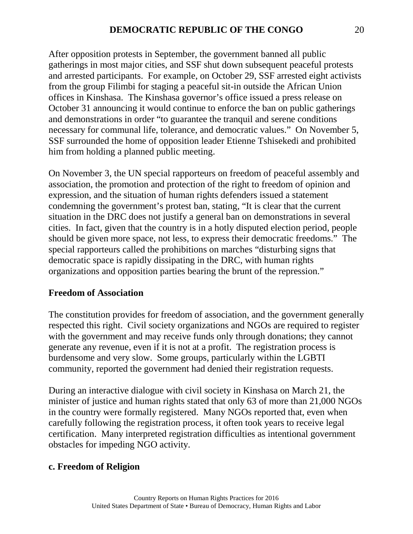After opposition protests in September, the government banned all public gatherings in most major cities, and SSF shut down subsequent peaceful protests and arrested participants. For example, on October 29, SSF arrested eight activists from the group Filimbi for staging a peaceful sit-in outside the African Union offices in Kinshasa. The Kinshasa governor's office issued a press release on October 31 announcing it would continue to enforce the ban on public gatherings and demonstrations in order "to guarantee the tranquil and serene conditions necessary for communal life, tolerance, and democratic values." On November 5, SSF surrounded the home of opposition leader Etienne Tshisekedi and prohibited him from holding a planned public meeting.

On November 3, the UN special rapporteurs on freedom of peaceful assembly and association, the promotion and protection of the right to freedom of opinion and expression, and the situation of human rights defenders issued a statement condemning the government's protest ban, stating, "It is clear that the current situation in the DRC does not justify a general ban on demonstrations in several cities. In fact, given that the country is in a hotly disputed election period, people should be given more space, not less, to express their democratic freedoms." The special rapporteurs called the prohibitions on marches "disturbing signs that democratic space is rapidly dissipating in the DRC, with human rights organizations and opposition parties bearing the brunt of the repression."

### **Freedom of Association**

The constitution provides for freedom of association, and the government generally respected this right. Civil society organizations and NGOs are required to register with the government and may receive funds only through donations; they cannot generate any revenue, even if it is not at a profit. The registration process is burdensome and very slow. Some groups, particularly within the LGBTI community, reported the government had denied their registration requests.

During an interactive dialogue with civil society in Kinshasa on March 21, the minister of justice and human rights stated that only 63 of more than 21,000 NGOs in the country were formally registered. Many NGOs reported that, even when carefully following the registration process, it often took years to receive legal certification. Many interpreted registration difficulties as intentional government obstacles for impeding NGO activity.

### **c. Freedom of Religion**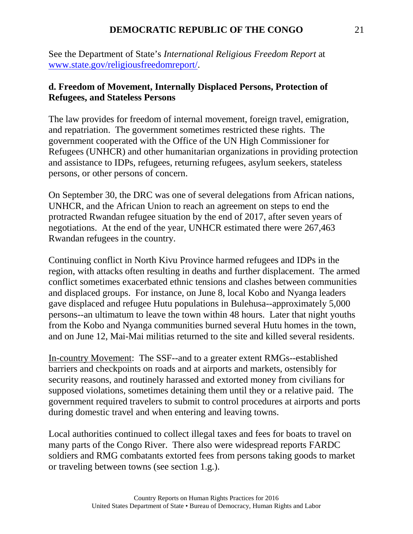### **DEMOCRATIC REPUBLIC OF THE CONGO** 21

See the Department of State's *International Religious Freedom Report* at [www.state.gov/religiousfreedomreport/.](http://www.state.gov/religiousfreedomreport/)

### **d. Freedom of Movement, Internally Displaced Persons, Protection of Refugees, and Stateless Persons**

The law provides for freedom of internal movement, foreign travel, emigration, and repatriation. The government sometimes restricted these rights. The government cooperated with the Office of the UN High Commissioner for Refugees (UNHCR) and other humanitarian organizations in providing protection and assistance to IDPs, refugees, returning refugees, asylum seekers, stateless persons, or other persons of concern.

On September 30, the DRC was one of several delegations from African nations, UNHCR, and the African Union to reach an agreement on steps to end the protracted Rwandan refugee situation by the end of 2017, after seven years of negotiations. At the end of the year, UNHCR estimated there were 267,463 Rwandan refugees in the country.

Continuing conflict in North Kivu Province harmed refugees and IDPs in the region, with attacks often resulting in deaths and further displacement. The armed conflict sometimes exacerbated ethnic tensions and clashes between communities and displaced groups. For instance, on June 8, local Kobo and Nyanga leaders gave displaced and refugee Hutu populations in Bulehusa--approximately 5,000 persons--an ultimatum to leave the town within 48 hours. Later that night youths from the Kobo and Nyanga communities burned several Hutu homes in the town, and on June 12, Mai-Mai militias returned to the site and killed several residents.

In-country Movement: The SSF--and to a greater extent RMGs--established barriers and checkpoints on roads and at airports and markets, ostensibly for security reasons, and routinely harassed and extorted money from civilians for supposed violations, sometimes detaining them until they or a relative paid. The government required travelers to submit to control procedures at airports and ports during domestic travel and when entering and leaving towns.

Local authorities continued to collect illegal taxes and fees for boats to travel on many parts of the Congo River. There also were widespread reports FARDC soldiers and RMG combatants extorted fees from persons taking goods to market or traveling between towns (see section 1.g.).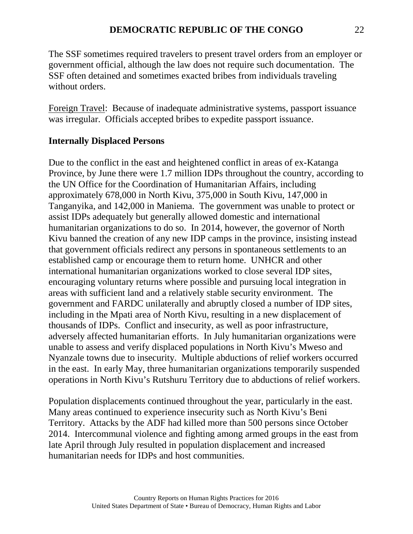The SSF sometimes required travelers to present travel orders from an employer or government official, although the law does not require such documentation. The SSF often detained and sometimes exacted bribes from individuals traveling without orders.

Foreign Travel: Because of inadequate administrative systems, passport issuance was irregular. Officials accepted bribes to expedite passport issuance.

## **Internally Displaced Persons**

Due to the conflict in the east and heightened conflict in areas of ex-Katanga Province, by June there were 1.7 million IDPs throughout the country, according to the UN Office for the Coordination of Humanitarian Affairs, including approximately 678,000 in North Kivu, 375,000 in South Kivu, 147,000 in Tanganyika, and 142,000 in Maniema. The government was unable to protect or assist IDPs adequately but generally allowed domestic and international humanitarian organizations to do so. In 2014, however, the governor of North Kivu banned the creation of any new IDP camps in the province, insisting instead that government officials redirect any persons in spontaneous settlements to an established camp or encourage them to return home. UNHCR and other international humanitarian organizations worked to close several IDP sites, encouraging voluntary returns where possible and pursuing local integration in areas with sufficient land and a relatively stable security environment. The government and FARDC unilaterally and abruptly closed a number of IDP sites, including in the Mpati area of North Kivu, resulting in a new displacement of thousands of IDPs. Conflict and insecurity, as well as poor infrastructure, adversely affected humanitarian efforts. In July humanitarian organizations were unable to assess and verify displaced populations in North Kivu's Mweso and Nyanzale towns due to insecurity. Multiple abductions of relief workers occurred in the east. In early May, three humanitarian organizations temporarily suspended operations in North Kivu's Rutshuru Territory due to abductions of relief workers.

Population displacements continued throughout the year, particularly in the east. Many areas continued to experience insecurity such as North Kivu's Beni Territory. Attacks by the ADF had killed more than 500 persons since October 2014. Intercommunal violence and fighting among armed groups in the east from late April through July resulted in population displacement and increased humanitarian needs for IDPs and host communities.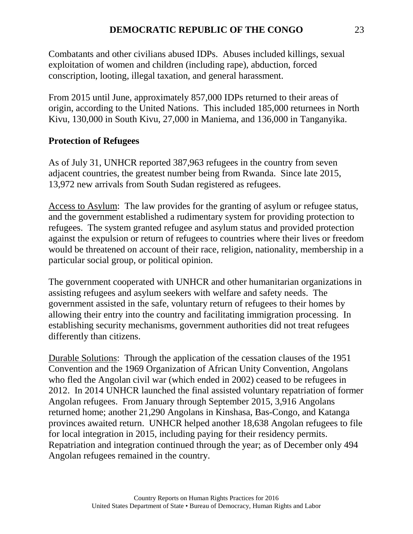Combatants and other civilians abused IDPs. Abuses included killings, sexual exploitation of women and children (including rape), abduction, forced conscription, looting, illegal taxation, and general harassment.

From 2015 until June, approximately 857,000 IDPs returned to their areas of origin, according to the United Nations. This included 185,000 returnees in North Kivu, 130,000 in South Kivu, 27,000 in Maniema, and 136,000 in Tanganyika.

# **Protection of Refugees**

As of July 31, UNHCR reported 387,963 refugees in the country from seven adjacent countries, the greatest number being from Rwanda. Since late 2015, 13,972 new arrivals from South Sudan registered as refugees.

Access to Asylum: The law provides for the granting of asylum or refugee status, and the government established a rudimentary system for providing protection to refugees. The system granted refugee and asylum status and provided protection against the expulsion or return of refugees to countries where their lives or freedom would be threatened on account of their race, religion, nationality, membership in a particular social group, or political opinion.

The government cooperated with UNHCR and other humanitarian organizations in assisting refugees and asylum seekers with welfare and safety needs. The government assisted in the safe, voluntary return of refugees to their homes by allowing their entry into the country and facilitating immigration processing. In establishing security mechanisms, government authorities did not treat refugees differently than citizens.

Durable Solutions: Through the application of the cessation clauses of the 1951 Convention and the 1969 Organization of African Unity Convention, Angolans who fled the Angolan civil war (which ended in 2002) ceased to be refugees in 2012. In 2014 UNHCR launched the final assisted voluntary repatriation of former Angolan refugees. From January through September 2015, 3,916 Angolans returned home; another 21,290 Angolans in Kinshasa, Bas-Congo, and Katanga provinces awaited return. UNHCR helped another 18,638 Angolan refugees to file for local integration in 2015, including paying for their residency permits. Repatriation and integration continued through the year; as of December only 494 Angolan refugees remained in the country.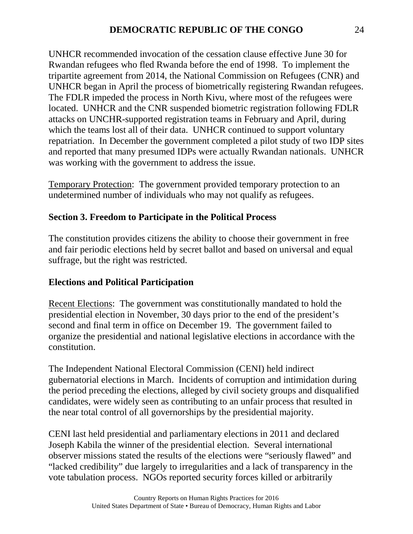UNHCR recommended invocation of the cessation clause effective June 30 for Rwandan refugees who fled Rwanda before the end of 1998. To implement the tripartite agreement from 2014, the National Commission on Refugees (CNR) and UNHCR began in April the process of biometrically registering Rwandan refugees. The FDLR impeded the process in North Kivu, where most of the refugees were located. UNHCR and the CNR suspended biometric registration following FDLR attacks on UNCHR-supported registration teams in February and April, during which the teams lost all of their data. UNHCR continued to support voluntary repatriation. In December the government completed a pilot study of two IDP sites and reported that many presumed IDPs were actually Rwandan nationals. UNHCR was working with the government to address the issue.

Temporary Protection: The government provided temporary protection to an undetermined number of individuals who may not qualify as refugees.

### **Section 3. Freedom to Participate in the Political Process**

The constitution provides citizens the ability to choose their government in free and fair periodic elections held by secret ballot and based on universal and equal suffrage, but the right was restricted.

### **Elections and Political Participation**

Recent Elections: The government was constitutionally mandated to hold the presidential election in November, 30 days prior to the end of the president's second and final term in office on December 19. The government failed to organize the presidential and national legislative elections in accordance with the constitution.

The Independent National Electoral Commission (CENI) held indirect gubernatorial elections in March. Incidents of corruption and intimidation during the period preceding the elections, alleged by civil society groups and disqualified candidates, were widely seen as contributing to an unfair process that resulted in the near total control of all governorships by the presidential majority.

CENI last held presidential and parliamentary elections in 2011 and declared Joseph Kabila the winner of the presidential election. Several international observer missions stated the results of the elections were "seriously flawed" and "lacked credibility" due largely to irregularities and a lack of transparency in the vote tabulation process. NGOs reported security forces killed or arbitrarily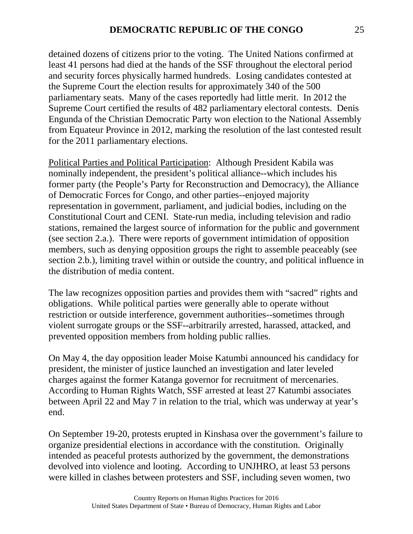detained dozens of citizens prior to the voting. The United Nations confirmed at least 41 persons had died at the hands of the SSF throughout the electoral period and security forces physically harmed hundreds. Losing candidates contested at the Supreme Court the election results for approximately 340 of the 500 parliamentary seats. Many of the cases reportedly had little merit. In 2012 the Supreme Court certified the results of 482 parliamentary electoral contests. Denis Engunda of the Christian Democratic Party won election to the National Assembly from Equateur Province in 2012, marking the resolution of the last contested result for the 2011 parliamentary elections.

Political Parties and Political Participation: Although President Kabila was nominally independent, the president's political alliance--which includes his former party (the People's Party for Reconstruction and Democracy), the Alliance of Democratic Forces for Congo, and other parties--enjoyed majority representation in government, parliament, and judicial bodies, including on the Constitutional Court and CENI. State-run media, including television and radio stations, remained the largest source of information for the public and government (see section 2.a.). There were reports of government intimidation of opposition members, such as denying opposition groups the right to assemble peaceably (see section 2.b.), limiting travel within or outside the country, and political influence in the distribution of media content.

The law recognizes opposition parties and provides them with "sacred" rights and obligations. While political parties were generally able to operate without restriction or outside interference, government authorities--sometimes through violent surrogate groups or the SSF--arbitrarily arrested, harassed, attacked, and prevented opposition members from holding public rallies.

On May 4, the day opposition leader Moise Katumbi announced his candidacy for president, the minister of justice launched an investigation and later leveled charges against the former Katanga governor for recruitment of mercenaries. According to Human Rights Watch, SSF arrested at least 27 Katumbi associates between April 22 and May 7 in relation to the trial, which was underway at year's end.

On September 19-20, protests erupted in Kinshasa over the government's failure to organize presidential elections in accordance with the constitution. Originally intended as peaceful protests authorized by the government, the demonstrations devolved into violence and looting. According to UNJHRO, at least 53 persons were killed in clashes between protesters and SSF, including seven women, two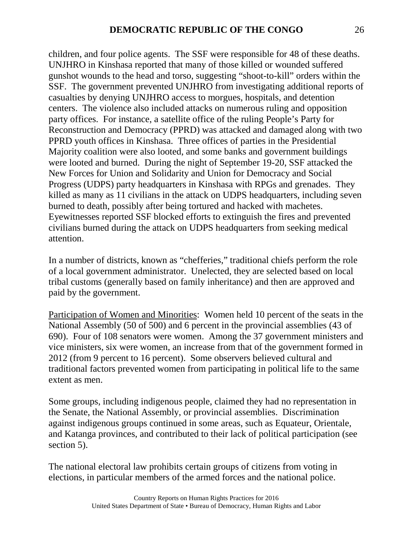children, and four police agents. The SSF were responsible for 48 of these deaths. UNJHRO in Kinshasa reported that many of those killed or wounded suffered gunshot wounds to the head and torso, suggesting "shoot-to-kill" orders within the SSF. The government prevented UNJHRO from investigating additional reports of casualties by denying UNJHRO access to morgues, hospitals, and detention centers. The violence also included attacks on numerous ruling and opposition party offices. For instance, a satellite office of the ruling People's Party for Reconstruction and Democracy (PPRD) was attacked and damaged along with two PPRD youth offices in Kinshasa. Three offices of parties in the Presidential Majority coalition were also looted, and some banks and government buildings were looted and burned. During the night of September 19-20, SSF attacked the New Forces for Union and Solidarity and Union for Democracy and Social Progress (UDPS) party headquarters in Kinshasa with RPGs and grenades. They killed as many as 11 civilians in the attack on UDPS headquarters, including seven burned to death, possibly after being tortured and hacked with machetes. Eyewitnesses reported SSF blocked efforts to extinguish the fires and prevented civilians burned during the attack on UDPS headquarters from seeking medical attention.

In a number of districts, known as "chefferies," traditional chiefs perform the role of a local government administrator. Unelected, they are selected based on local tribal customs (generally based on family inheritance) and then are approved and paid by the government.

Participation of Women and Minorities: Women held 10 percent of the seats in the National Assembly (50 of 500) and 6 percent in the provincial assemblies (43 of 690). Four of 108 senators were women. Among the 37 government ministers and vice ministers, six were women, an increase from that of the government formed in 2012 (from 9 percent to 16 percent). Some observers believed cultural and traditional factors prevented women from participating in political life to the same extent as men.

Some groups, including indigenous people, claimed they had no representation in the Senate, the National Assembly, or provincial assemblies. Discrimination against indigenous groups continued in some areas, such as Equateur, Orientale, and Katanga provinces, and contributed to their lack of political participation (see section 5).

The national electoral law prohibits certain groups of citizens from voting in elections, in particular members of the armed forces and the national police.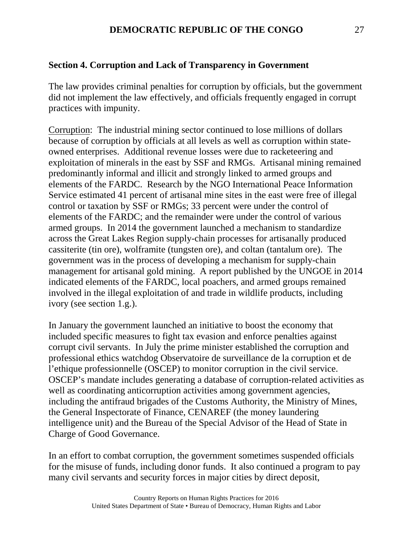### **Section 4. Corruption and Lack of Transparency in Government**

The law provides criminal penalties for corruption by officials, but the government did not implement the law effectively, and officials frequently engaged in corrupt practices with impunity.

Corruption: The industrial mining sector continued to lose millions of dollars because of corruption by officials at all levels as well as corruption within stateowned enterprises. Additional revenue losses were due to racketeering and exploitation of minerals in the east by SSF and RMGs. Artisanal mining remained predominantly informal and illicit and strongly linked to armed groups and elements of the FARDC. Research by the NGO International Peace Information Service estimated 41 percent of artisanal mine sites in the east were free of illegal control or taxation by SSF or RMGs; 33 percent were under the control of elements of the FARDC; and the remainder were under the control of various armed groups. In 2014 the government launched a mechanism to standardize across the Great Lakes Region supply-chain processes for artisanally produced cassiterite (tin ore), wolframite (tungsten ore), and coltan (tantalum ore). The government was in the process of developing a mechanism for supply-chain management for artisanal gold mining. A report published by the UNGOE in 2014 indicated elements of the FARDC, local poachers, and armed groups remained involved in the illegal exploitation of and trade in wildlife products, including ivory (see section 1.g.).

In January the government launched an initiative to boost the economy that included specific measures to fight tax evasion and enforce penalties against corrupt civil servants. In July the prime minister established the corruption and professional ethics watchdog Observatoire de surveillance de la corruption et de l'ethique professionnelle (OSCEP) to monitor corruption in the civil service. OSCEP's mandate includes generating a database of corruption-related activities as well as coordinating anticorruption activities among government agencies, including the antifraud brigades of the Customs Authority, the Ministry of Mines, the General Inspectorate of Finance, CENAREF (the money laundering intelligence unit) and the Bureau of the Special Advisor of the Head of State in Charge of Good Governance.

In an effort to combat corruption, the government sometimes suspended officials for the misuse of funds, including donor funds. It also continued a program to pay many civil servants and security forces in major cities by direct deposit,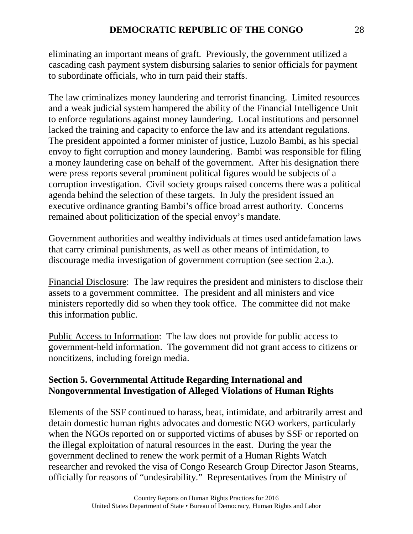eliminating an important means of graft. Previously, the government utilized a cascading cash payment system disbursing salaries to senior officials for payment to subordinate officials, who in turn paid their staffs.

The law criminalizes money laundering and terrorist financing. Limited resources and a weak judicial system hampered the ability of the Financial Intelligence Unit to enforce regulations against money laundering. Local institutions and personnel lacked the training and capacity to enforce the law and its attendant regulations. The president appointed a former minister of justice, Luzolo Bambi, as his special envoy to fight corruption and money laundering. Bambi was responsible for filing a money laundering case on behalf of the government. After his designation there were press reports several prominent political figures would be subjects of a corruption investigation. Civil society groups raised concerns there was a political agenda behind the selection of these targets. In July the president issued an executive ordinance granting Bambi's office broad arrest authority. Concerns remained about politicization of the special envoy's mandate.

Government authorities and wealthy individuals at times used antidefamation laws that carry criminal punishments, as well as other means of intimidation, to discourage media investigation of government corruption (see section 2.a.).

Financial Disclosure: The law requires the president and ministers to disclose their assets to a government committee. The president and all ministers and vice ministers reportedly did so when they took office. The committee did not make this information public.

Public Access to Information: The law does not provide for public access to government-held information. The government did not grant access to citizens or noncitizens, including foreign media.

### **Section 5. Governmental Attitude Regarding International and Nongovernmental Investigation of Alleged Violations of Human Rights**

Elements of the SSF continued to harass, beat, intimidate, and arbitrarily arrest and detain domestic human rights advocates and domestic NGO workers, particularly when the NGOs reported on or supported victims of abuses by SSF or reported on the illegal exploitation of natural resources in the east. During the year the government declined to renew the work permit of a Human Rights Watch researcher and revoked the visa of Congo Research Group Director Jason Stearns, officially for reasons of "undesirability." Representatives from the Ministry of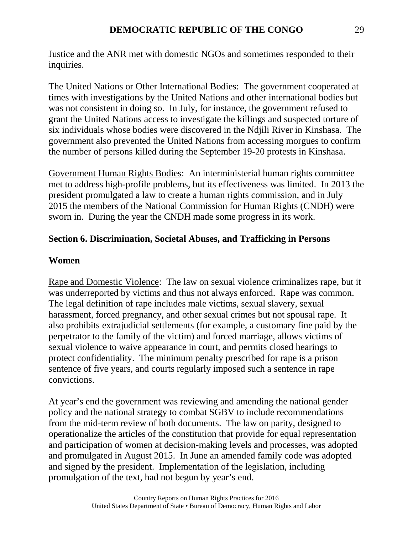Justice and the ANR met with domestic NGOs and sometimes responded to their inquiries.

The United Nations or Other International Bodies: The government cooperated at times with investigations by the United Nations and other international bodies but was not consistent in doing so. In July, for instance, the government refused to grant the United Nations access to investigate the killings and suspected torture of six individuals whose bodies were discovered in the Ndjili River in Kinshasa. The government also prevented the United Nations from accessing morgues to confirm the number of persons killed during the September 19-20 protests in Kinshasa.

Government Human Rights Bodies: An interministerial human rights committee met to address high-profile problems, but its effectiveness was limited. In 2013 the president promulgated a law to create a human rights commission, and in July 2015 the members of the National Commission for Human Rights (CNDH) were sworn in. During the year the CNDH made some progress in its work.

### **Section 6. Discrimination, Societal Abuses, and Trafficking in Persons**

#### **Women**

Rape and Domestic Violence: The law on sexual violence criminalizes rape, but it was underreported by victims and thus not always enforced. Rape was common. The legal definition of rape includes male victims, sexual slavery, sexual harassment, forced pregnancy, and other sexual crimes but not spousal rape. It also prohibits extrajudicial settlements (for example, a customary fine paid by the perpetrator to the family of the victim) and forced marriage, allows victims of sexual violence to waive appearance in court, and permits closed hearings to protect confidentiality. The minimum penalty prescribed for rape is a prison sentence of five years, and courts regularly imposed such a sentence in rape convictions.

At year's end the government was reviewing and amending the national gender policy and the national strategy to combat SGBV to include recommendations from the mid-term review of both documents. The law on parity, designed to operationalize the articles of the constitution that provide for equal representation and participation of women at decision-making levels and processes, was adopted and promulgated in August 2015. In June an amended family code was adopted and signed by the president. Implementation of the legislation, including promulgation of the text, had not begun by year's end.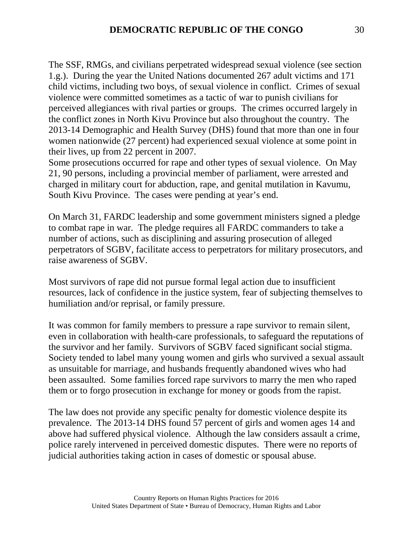The SSF, RMGs, and civilians perpetrated widespread sexual violence (see section 1.g.). During the year the United Nations documented 267 adult victims and 171 child victims, including two boys, of sexual violence in conflict. Crimes of sexual violence were committed sometimes as a tactic of war to punish civilians for perceived allegiances with rival parties or groups. The crimes occurred largely in the conflict zones in North Kivu Province but also throughout the country. The 2013-14 Demographic and Health Survey (DHS) found that more than one in four women nationwide (27 percent) had experienced sexual violence at some point in their lives, up from 22 percent in 2007.

Some prosecutions occurred for rape and other types of sexual violence. On May 21, 90 persons, including a provincial member of parliament, were arrested and charged in military court for abduction, rape, and genital mutilation in Kavumu, South Kivu Province. The cases were pending at year's end.

On March 31, FARDC leadership and some government ministers signed a pledge to combat rape in war. The pledge requires all FARDC commanders to take a number of actions, such as disciplining and assuring prosecution of alleged perpetrators of SGBV, facilitate access to perpetrators for military prosecutors, and raise awareness of SGBV.

Most survivors of rape did not pursue formal legal action due to insufficient resources, lack of confidence in the justice system, fear of subjecting themselves to humiliation and/or reprisal, or family pressure.

It was common for family members to pressure a rape survivor to remain silent, even in collaboration with health-care professionals, to safeguard the reputations of the survivor and her family. Survivors of SGBV faced significant social stigma. Society tended to label many young women and girls who survived a sexual assault as unsuitable for marriage, and husbands frequently abandoned wives who had been assaulted. Some families forced rape survivors to marry the men who raped them or to forgo prosecution in exchange for money or goods from the rapist.

The law does not provide any specific penalty for domestic violence despite its prevalence. The 2013-14 DHS found 57 percent of girls and women ages 14 and above had suffered physical violence. Although the law considers assault a crime, police rarely intervened in perceived domestic disputes. There were no reports of judicial authorities taking action in cases of domestic or spousal abuse.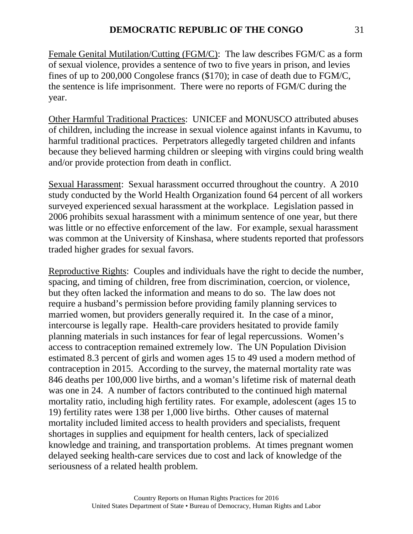Female Genital Mutilation/Cutting (FGM/C): The law describes FGM/C as a form of sexual violence, provides a sentence of two to five years in prison, and levies fines of up to 200,000 Congolese francs (\$170); in case of death due to FGM/C, the sentence is life imprisonment. There were no reports of FGM/C during the year.

Other Harmful Traditional Practices: UNICEF and MONUSCO attributed abuses of children, including the increase in sexual violence against infants in Kavumu, to harmful traditional practices. Perpetrators allegedly targeted children and infants because they believed harming children or sleeping with virgins could bring wealth and/or provide protection from death in conflict.

Sexual Harassment: Sexual harassment occurred throughout the country. A 2010 study conducted by the World Health Organization found 64 percent of all workers surveyed experienced sexual harassment at the workplace. Legislation passed in 2006 prohibits sexual harassment with a minimum sentence of one year, but there was little or no effective enforcement of the law. For example, sexual harassment was common at the University of Kinshasa, where students reported that professors traded higher grades for sexual favors.

Reproductive Rights: Couples and individuals have the right to decide the number, spacing, and timing of children, free from discrimination, coercion, or violence, but they often lacked the information and means to do so. The law does not require a husband's permission before providing family planning services to married women, but providers generally required it. In the case of a minor, intercourse is legally rape. Health-care providers hesitated to provide family planning materials in such instances for fear of legal repercussions. Women's access to contraception remained extremely low. The UN Population Division estimated 8.3 percent of girls and women ages 15 to 49 used a modern method of contraception in 2015. According to the survey, the maternal mortality rate was 846 deaths per 100,000 live births, and a woman's lifetime risk of maternal death was one in 24. A number of factors contributed to the continued high maternal mortality ratio, including high fertility rates. For example, adolescent (ages 15 to 19) fertility rates were 138 per 1,000 live births. Other causes of maternal mortality included limited access to health providers and specialists, frequent shortages in supplies and equipment for health centers, lack of specialized knowledge and training, and transportation problems. At times pregnant women delayed seeking health-care services due to cost and lack of knowledge of the seriousness of a related health problem.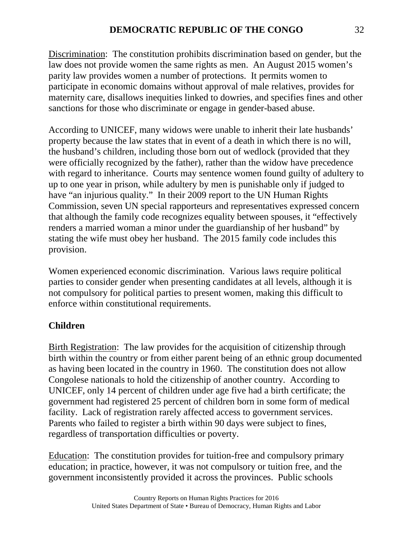Discrimination: The constitution prohibits discrimination based on gender, but the law does not provide women the same rights as men. An August 2015 women's parity law provides women a number of protections. It permits women to participate in economic domains without approval of male relatives, provides for maternity care, disallows inequities linked to dowries, and specifies fines and other sanctions for those who discriminate or engage in gender-based abuse.

According to UNICEF, many widows were unable to inherit their late husbands' property because the law states that in event of a death in which there is no will, the husband's children, including those born out of wedlock (provided that they were officially recognized by the father), rather than the widow have precedence with regard to inheritance. Courts may sentence women found guilty of adultery to up to one year in prison, while adultery by men is punishable only if judged to have "an injurious quality." In their 2009 report to the UN Human Rights Commission, seven UN special rapporteurs and representatives expressed concern that although the family code recognizes equality between spouses, it "effectively renders a married woman a minor under the guardianship of her husband" by stating the wife must obey her husband. The 2015 family code includes this provision.

Women experienced economic discrimination. Various laws require political parties to consider gender when presenting candidates at all levels, although it is not compulsory for political parties to present women, making this difficult to enforce within constitutional requirements.

# **Children**

Birth Registration: The law provides for the acquisition of citizenship through birth within the country or from either parent being of an ethnic group documented as having been located in the country in 1960. The constitution does not allow Congolese nationals to hold the citizenship of another country. According to UNICEF, only 14 percent of children under age five had a birth certificate; the government had registered 25 percent of children born in some form of medical facility. Lack of registration rarely affected access to government services. Parents who failed to register a birth within 90 days were subject to fines, regardless of transportation difficulties or poverty.

Education: The constitution provides for tuition-free and compulsory primary education; in practice, however, it was not compulsory or tuition free, and the government inconsistently provided it across the provinces. Public schools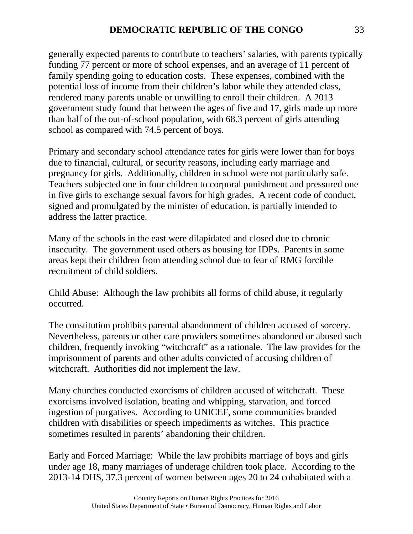generally expected parents to contribute to teachers' salaries, with parents typically funding 77 percent or more of school expenses, and an average of 11 percent of family spending going to education costs. These expenses, combined with the potential loss of income from their children's labor while they attended class, rendered many parents unable or unwilling to enroll their children. A 2013 government study found that between the ages of five and 17, girls made up more than half of the out-of-school population, with 68.3 percent of girls attending school as compared with 74.5 percent of boys.

Primary and secondary school attendance rates for girls were lower than for boys due to financial, cultural, or security reasons, including early marriage and pregnancy for girls. Additionally, children in school were not particularly safe. Teachers subjected one in four children to corporal punishment and pressured one in five girls to exchange sexual favors for high grades. A recent code of conduct, signed and promulgated by the minister of education, is partially intended to address the latter practice.

Many of the schools in the east were dilapidated and closed due to chronic insecurity. The government used others as housing for IDPs. Parents in some areas kept their children from attending school due to fear of RMG forcible recruitment of child soldiers.

Child Abuse: Although the law prohibits all forms of child abuse, it regularly occurred.

The constitution prohibits parental abandonment of children accused of sorcery. Nevertheless, parents or other care providers sometimes abandoned or abused such children, frequently invoking "witchcraft" as a rationale. The law provides for the imprisonment of parents and other adults convicted of accusing children of witchcraft. Authorities did not implement the law.

Many churches conducted exorcisms of children accused of witchcraft. These exorcisms involved isolation, beating and whipping, starvation, and forced ingestion of purgatives. According to UNICEF, some communities branded children with disabilities or speech impediments as witches. This practice sometimes resulted in parents' abandoning their children.

Early and Forced Marriage: While the law prohibits marriage of boys and girls under age 18, many marriages of underage children took place. According to the 2013-14 DHS, 37.3 percent of women between ages 20 to 24 cohabitated with a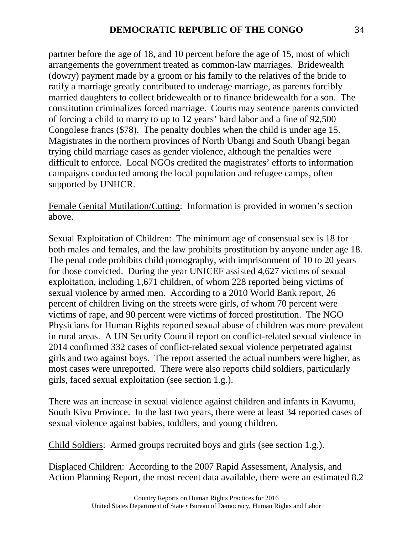partner before the age of 18, and 10 percent before the age of 15, most of which arrangements the government treated as common-law marriages. Bridewealth (dowry) payment made by a groom or his family to the relatives of the bride to ratify a marriage greatly contributed to underage marriage, as parents forcibly married daughters to collect bridewealth or to finance bridewealth for a son. The constitution criminalizes forced marriage. Courts may sentence parents convicted of forcing a child to marry to up to 12 years' hard labor and a fine of 92,500 Congolese francs (\$78). The penalty doubles when the child is under age 15. Magistrates in the northern provinces of North Ubangi and South Ubangi began trying child marriage cases as gender violence, although the penalties were difficult to enforce. Local NGOs credited the magistrates' efforts to information campaigns conducted among the local population and refugee camps, often supported by UNHCR.

Female Genital Mutilation/Cutting: Information is provided in women's section above.

Sexual Exploitation of Children: The minimum age of consensual sex is 18 for both males and females, and the law prohibits prostitution by anyone under age 18. The penal code prohibits child pornography, with imprisonment of 10 to 20 years for those convicted. During the year UNICEF assisted 4,627 victims of sexual exploitation, including 1,671 children, of whom 228 reported being victims of sexual violence by armed men. According to a 2010 World Bank report, 26 percent of children living on the streets were girls, of whom 70 percent were victims of rape, and 90 percent were victims of forced prostitution. The NGO Physicians for Human Rights reported sexual abuse of children was more prevalent in rural areas. A UN Security Council report on conflict-related sexual violence in 2014 confirmed 332 cases of conflict-related sexual violence perpetrated against girls and two against boys. The report asserted the actual numbers were higher, as most cases were unreported. There were also reports child soldiers, particularly girls, faced sexual exploitation (see section 1.g.).

There was an increase in sexual violence against children and infants in Kavumu, South Kivu Province. In the last two years, there were at least 34 reported cases of sexual violence against babies, toddlers, and young children.

Child Soldiers: Armed groups recruited boys and girls (see section 1.g.).

Displaced Children: According to the 2007 Rapid Assessment, Analysis, and Action Planning Report, the most recent data available, there were an estimated 8.2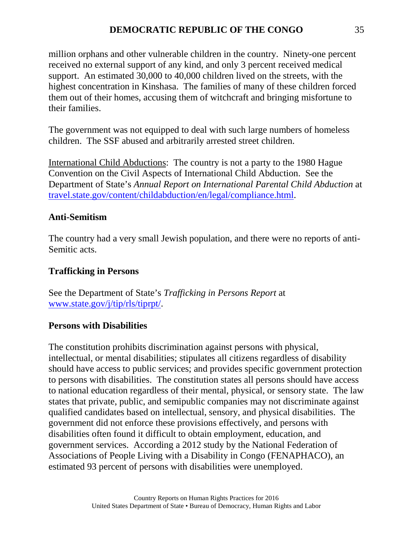million orphans and other vulnerable children in the country. Ninety-one percent received no external support of any kind, and only 3 percent received medical support. An estimated 30,000 to 40,000 children lived on the streets, with the highest concentration in Kinshasa. The families of many of these children forced them out of their homes, accusing them of witchcraft and bringing misfortune to their families.

The government was not equipped to deal with such large numbers of homeless children. The SSF abused and arbitrarily arrested street children.

International Child Abductions: The country is not a party to the 1980 Hague Convention on the Civil Aspects of International Child Abduction. See the Department of State's *Annual Report on International Parental Child Abduction* at [travel.state.gov/content/childabduction/en/legal/compliance.html.](http://travel.state.gov/content/childabduction/en/legal/compliance.html)

# **Anti-Semitism**

The country had a very small Jewish population, and there were no reports of anti-Semitic acts.

# **Trafficking in Persons**

See the Department of State's *Trafficking in Persons Report* at [www.state.gov/j/tip/rls/tiprpt/.](http://www.state.gov/j/tip/rls/tiprpt/)

# **Persons with Disabilities**

The constitution prohibits discrimination against persons with physical, intellectual, or mental disabilities; stipulates all citizens regardless of disability should have access to public services; and provides specific government protection to persons with disabilities. The constitution states all persons should have access to national education regardless of their mental, physical, or sensory state. The law states that private, public, and semipublic companies may not discriminate against qualified candidates based on intellectual, sensory, and physical disabilities. The government did not enforce these provisions effectively, and persons with disabilities often found it difficult to obtain employment, education, and government services. According a 2012 study by the National Federation of Associations of People Living with a Disability in Congo (FENAPHACO), an estimated 93 percent of persons with disabilities were unemployed.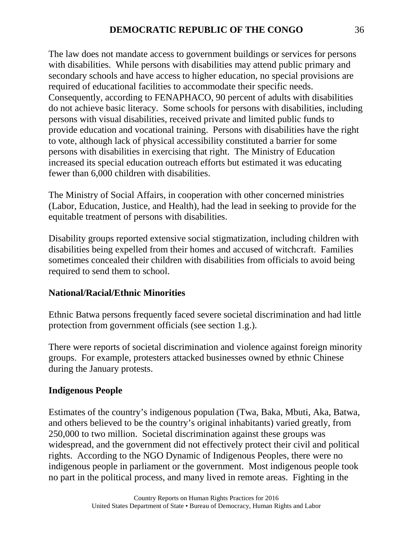The law does not mandate access to government buildings or services for persons with disabilities. While persons with disabilities may attend public primary and secondary schools and have access to higher education, no special provisions are required of educational facilities to accommodate their specific needs. Consequently, according to FENAPHACO, 90 percent of adults with disabilities do not achieve basic literacy. Some schools for persons with disabilities, including persons with visual disabilities, received private and limited public funds to provide education and vocational training. Persons with disabilities have the right to vote, although lack of physical accessibility constituted a barrier for some persons with disabilities in exercising that right. The Ministry of Education increased its special education outreach efforts but estimated it was educating fewer than 6,000 children with disabilities.

The Ministry of Social Affairs, in cooperation with other concerned ministries (Labor, Education, Justice, and Health), had the lead in seeking to provide for the equitable treatment of persons with disabilities.

Disability groups reported extensive social stigmatization, including children with disabilities being expelled from their homes and accused of witchcraft. Families sometimes concealed their children with disabilities from officials to avoid being required to send them to school.

## **National/Racial/Ethnic Minorities**

Ethnic Batwa persons frequently faced severe societal discrimination and had little protection from government officials (see section 1.g.).

There were reports of societal discrimination and violence against foreign minority groups. For example, protesters attacked businesses owned by ethnic Chinese during the January protests.

## **Indigenous People**

Estimates of the country's indigenous population (Twa, Baka, Mbuti, Aka, Batwa, and others believed to be the country's original inhabitants) varied greatly, from 250,000 to two million. Societal discrimination against these groups was widespread, and the government did not effectively protect their civil and political rights. According to the NGO Dynamic of Indigenous Peoples, there were no indigenous people in parliament or the government. Most indigenous people took no part in the political process, and many lived in remote areas. Fighting in the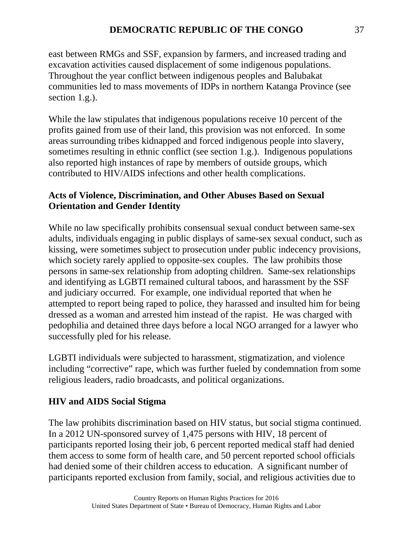east between RMGs and SSF, expansion by farmers, and increased trading and excavation activities caused displacement of some indigenous populations. Throughout the year conflict between indigenous peoples and Balubakat communities led to mass movements of IDPs in northern Katanga Province (see section 1.g.).

While the law stipulates that indigenous populations receive 10 percent of the profits gained from use of their land, this provision was not enforced. In some areas surrounding tribes kidnapped and forced indigenous people into slavery, sometimes resulting in ethnic conflict (see section 1.g.). Indigenous populations also reported high instances of rape by members of outside groups, which contributed to HIV/AIDS infections and other health complications.

# **Acts of Violence, Discrimination, and Other Abuses Based on Sexual Orientation and Gender Identity**

While no law specifically prohibits consensual sexual conduct between same-sex adults, individuals engaging in public displays of same-sex sexual conduct, such as kissing, were sometimes subject to prosecution under public indecency provisions, which society rarely applied to opposite-sex couples. The law prohibits those persons in same-sex relationship from adopting children. Same-sex relationships and identifying as LGBTI remained cultural taboos, and harassment by the SSF and judiciary occurred. For example, one individual reported that when he attempted to report being raped to police, they harassed and insulted him for being dressed as a woman and arrested him instead of the rapist. He was charged with pedophilia and detained three days before a local NGO arranged for a lawyer who successfully pled for his release.

LGBTI individuals were subjected to harassment, stigmatization, and violence including "corrective" rape, which was further fueled by condemnation from some religious leaders, radio broadcasts, and political organizations.

# **HIV and AIDS Social Stigma**

The law prohibits discrimination based on HIV status, but social stigma continued. In a 2012 UN-sponsored survey of 1,475 persons with HIV, 18 percent of participants reported losing their job, 6 percent reported medical staff had denied them access to some form of health care, and 50 percent reported school officials had denied some of their children access to education. A significant number of participants reported exclusion from family, social, and religious activities due to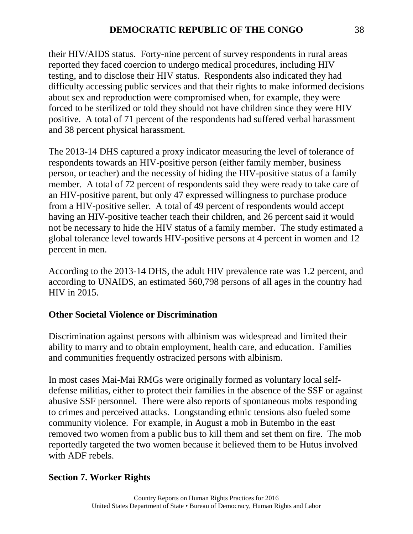their HIV/AIDS status. Forty-nine percent of survey respondents in rural areas reported they faced coercion to undergo medical procedures, including HIV testing, and to disclose their HIV status. Respondents also indicated they had difficulty accessing public services and that their rights to make informed decisions about sex and reproduction were compromised when, for example, they were forced to be sterilized or told they should not have children since they were HIV positive. A total of 71 percent of the respondents had suffered verbal harassment and 38 percent physical harassment.

The 2013-14 DHS captured a proxy indicator measuring the level of tolerance of respondents towards an HIV-positive person (either family member, business person, or teacher) and the necessity of hiding the HIV-positive status of a family member. A total of 72 percent of respondents said they were ready to take care of an HIV-positive parent, but only 47 expressed willingness to purchase produce from a HIV-positive seller. A total of 49 percent of respondents would accept having an HIV-positive teacher teach their children, and 26 percent said it would not be necessary to hide the HIV status of a family member. The study estimated a global tolerance level towards HIV-positive persons at 4 percent in women and 12 percent in men.

According to the 2013-14 DHS, the adult HIV prevalence rate was 1.2 percent, and according to UNAIDS, an estimated 560,798 persons of all ages in the country had HIV in 2015.

## **Other Societal Violence or Discrimination**

Discrimination against persons with albinism was widespread and limited their ability to marry and to obtain employment, health care, and education. Families and communities frequently ostracized persons with albinism.

In most cases Mai-Mai RMGs were originally formed as voluntary local selfdefense militias, either to protect their families in the absence of the SSF or against abusive SSF personnel. There were also reports of spontaneous mobs responding to crimes and perceived attacks. Longstanding ethnic tensions also fueled some community violence. For example, in August a mob in Butembo in the east removed two women from a public bus to kill them and set them on fire. The mob reportedly targeted the two women because it believed them to be Hutus involved with ADF rebels.

# **Section 7. Worker Rights**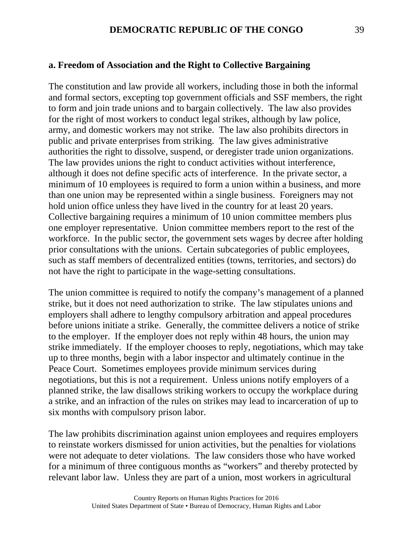#### **a. Freedom of Association and the Right to Collective Bargaining**

The constitution and law provide all workers, including those in both the informal and formal sectors, excepting top government officials and SSF members, the right to form and join trade unions and to bargain collectively. The law also provides for the right of most workers to conduct legal strikes, although by law police, army, and domestic workers may not strike. The law also prohibits directors in public and private enterprises from striking. The law gives administrative authorities the right to dissolve, suspend, or deregister trade union organizations. The law provides unions the right to conduct activities without interference, although it does not define specific acts of interference. In the private sector, a minimum of 10 employees is required to form a union within a business, and more than one union may be represented within a single business. Foreigners may not hold union office unless they have lived in the country for at least 20 years. Collective bargaining requires a minimum of 10 union committee members plus one employer representative. Union committee members report to the rest of the workforce. In the public sector, the government sets wages by decree after holding prior consultations with the unions. Certain subcategories of public employees, such as staff members of decentralized entities (towns, territories, and sectors) do not have the right to participate in the wage-setting consultations.

The union committee is required to notify the company's management of a planned strike, but it does not need authorization to strike. The law stipulates unions and employers shall adhere to lengthy compulsory arbitration and appeal procedures before unions initiate a strike. Generally, the committee delivers a notice of strike to the employer. If the employer does not reply within 48 hours, the union may strike immediately. If the employer chooses to reply, negotiations, which may take up to three months, begin with a labor inspector and ultimately continue in the Peace Court. Sometimes employees provide minimum services during negotiations, but this is not a requirement. Unless unions notify employers of a planned strike, the law disallows striking workers to occupy the workplace during a strike, and an infraction of the rules on strikes may lead to incarceration of up to six months with compulsory prison labor.

The law prohibits discrimination against union employees and requires employers to reinstate workers dismissed for union activities, but the penalties for violations were not adequate to deter violations. The law considers those who have worked for a minimum of three contiguous months as "workers" and thereby protected by relevant labor law. Unless they are part of a union, most workers in agricultural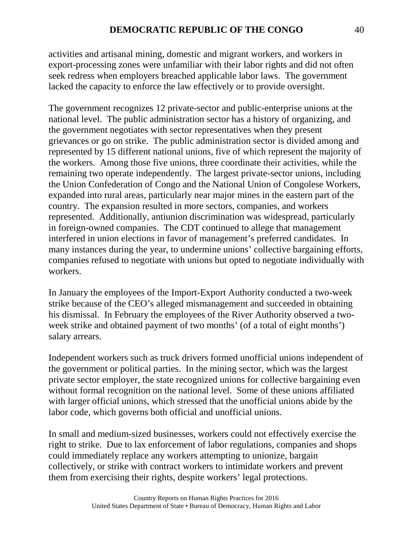activities and artisanal mining, domestic and migrant workers, and workers in export-processing zones were unfamiliar with their labor rights and did not often seek redress when employers breached applicable labor laws. The government lacked the capacity to enforce the law effectively or to provide oversight.

The government recognizes 12 private-sector and public-enterprise unions at the national level. The public administration sector has a history of organizing, and the government negotiates with sector representatives when they present grievances or go on strike. The public administration sector is divided among and represented by 15 different national unions, five of which represent the majority of the workers. Among those five unions, three coordinate their activities, while the remaining two operate independently. The largest private-sector unions, including the Union Confederation of Congo and the National Union of Congolese Workers, expanded into rural areas, particularly near major mines in the eastern part of the country. The expansion resulted in more sectors, companies, and workers represented. Additionally, antiunion discrimination was widespread, particularly in foreign-owned companies. The CDT continued to allege that management interfered in union elections in favor of management's preferred candidates. In many instances during the year, to undermine unions' collective bargaining efforts, companies refused to negotiate with unions but opted to negotiate individually with workers.

In January the employees of the Import-Export Authority conducted a two-week strike because of the CEO's alleged mismanagement and succeeded in obtaining his dismissal. In February the employees of the River Authority observed a twoweek strike and obtained payment of two months' (of a total of eight months') salary arrears.

Independent workers such as truck drivers formed unofficial unions independent of the government or political parties. In the mining sector, which was the largest private sector employer, the state recognized unions for collective bargaining even without formal recognition on the national level. Some of these unions affiliated with larger official unions, which stressed that the unofficial unions abide by the labor code, which governs both official and unofficial unions.

In small and medium-sized businesses, workers could not effectively exercise the right to strike. Due to lax enforcement of labor regulations, companies and shops could immediately replace any workers attempting to unionize, bargain collectively, or strike with contract workers to intimidate workers and prevent them from exercising their rights, despite workers' legal protections.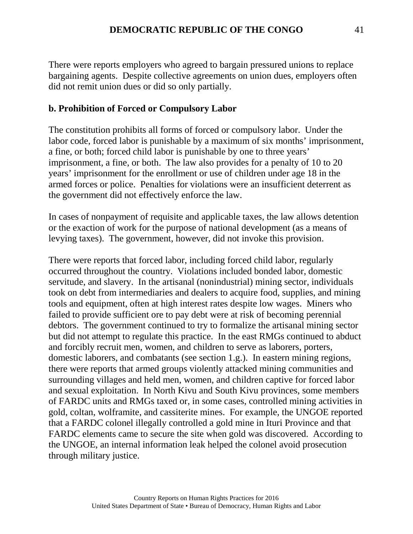There were reports employers who agreed to bargain pressured unions to replace bargaining agents. Despite collective agreements on union dues, employers often did not remit union dues or did so only partially.

## **b. Prohibition of Forced or Compulsory Labor**

The constitution prohibits all forms of forced or compulsory labor. Under the labor code, forced labor is punishable by a maximum of six months' imprisonment, a fine, or both; forced child labor is punishable by one to three years' imprisonment, a fine, or both. The law also provides for a penalty of 10 to 20 years' imprisonment for the enrollment or use of children under age 18 in the armed forces or police. Penalties for violations were an insufficient deterrent as the government did not effectively enforce the law.

In cases of nonpayment of requisite and applicable taxes, the law allows detention or the exaction of work for the purpose of national development (as a means of levying taxes). The government, however, did not invoke this provision.

There were reports that forced labor, including forced child labor, regularly occurred throughout the country. Violations included bonded labor, domestic servitude, and slavery. In the artisanal (nonindustrial) mining sector, individuals took on debt from intermediaries and dealers to acquire food, supplies, and mining tools and equipment, often at high interest rates despite low wages. Miners who failed to provide sufficient ore to pay debt were at risk of becoming perennial debtors. The government continued to try to formalize the artisanal mining sector but did not attempt to regulate this practice. In the east RMGs continued to abduct and forcibly recruit men, women, and children to serve as laborers, porters, domestic laborers, and combatants (see section 1.g.). In eastern mining regions, there were reports that armed groups violently attacked mining communities and surrounding villages and held men, women, and children captive for forced labor and sexual exploitation. In North Kivu and South Kivu provinces, some members of FARDC units and RMGs taxed or, in some cases, controlled mining activities in gold, coltan, wolframite, and cassiterite mines. For example, the UNGOE reported that a FARDC colonel illegally controlled a gold mine in Ituri Province and that FARDC elements came to secure the site when gold was discovered. According to the UNGOE, an internal information leak helped the colonel avoid prosecution through military justice.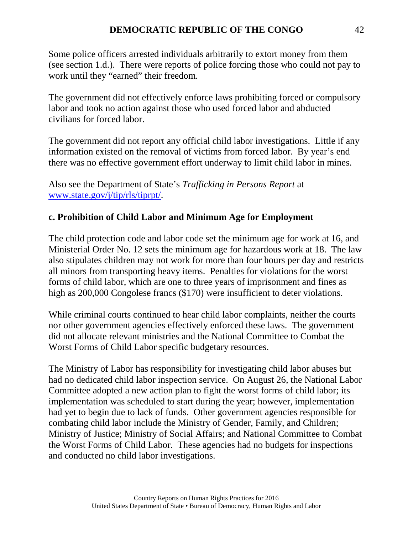Some police officers arrested individuals arbitrarily to extort money from them (see section 1.d.). There were reports of police forcing those who could not pay to work until they "earned" their freedom.

The government did not effectively enforce laws prohibiting forced or compulsory labor and took no action against those who used forced labor and abducted civilians for forced labor.

The government did not report any official child labor investigations. Little if any information existed on the removal of victims from forced labor. By year's end there was no effective government effort underway to limit child labor in mines.

Also see the Department of State's *Trafficking in Persons Report* at [www.state.gov/j/tip/rls/tiprpt/.](http://www.state.gov/j/tip/rls/tiprpt/)

## **c. Prohibition of Child Labor and Minimum Age for Employment**

The child protection code and labor code set the minimum age for work at 16, and Ministerial Order No. 12 sets the minimum age for hazardous work at 18. The law also stipulates children may not work for more than four hours per day and restricts all minors from transporting heavy items. Penalties for violations for the worst forms of child labor, which are one to three years of imprisonment and fines as high as 200,000 Congolese francs (\$170) were insufficient to deter violations.

While criminal courts continued to hear child labor complaints, neither the courts nor other government agencies effectively enforced these laws. The government did not allocate relevant ministries and the National Committee to Combat the Worst Forms of Child Labor specific budgetary resources.

The Ministry of Labor has responsibility for investigating child labor abuses but had no dedicated child labor inspection service. On August 26, the National Labor Committee adopted a new action plan to fight the worst forms of child labor; its implementation was scheduled to start during the year; however, implementation had yet to begin due to lack of funds. Other government agencies responsible for combating child labor include the Ministry of Gender, Family, and Children; Ministry of Justice; Ministry of Social Affairs; and National Committee to Combat the Worst Forms of Child Labor. These agencies had no budgets for inspections and conducted no child labor investigations.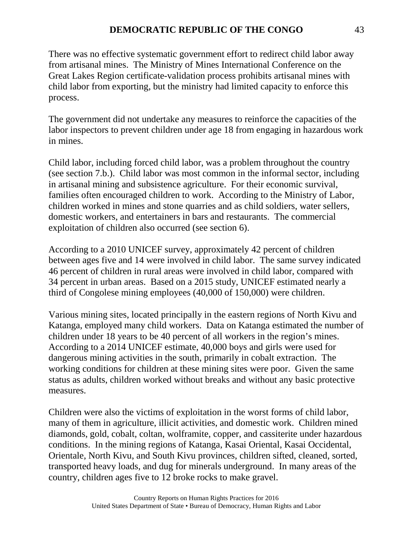There was no effective systematic government effort to redirect child labor away from artisanal mines. The Ministry of Mines International Conference on the Great Lakes Region certificate-validation process prohibits artisanal mines with child labor from exporting, but the ministry had limited capacity to enforce this process.

The government did not undertake any measures to reinforce the capacities of the labor inspectors to prevent children under age 18 from engaging in hazardous work in mines.

Child labor, including forced child labor, was a problem throughout the country (see section 7.b.). Child labor was most common in the informal sector, including in artisanal mining and subsistence agriculture. For their economic survival, families often encouraged children to work. According to the Ministry of Labor, children worked in mines and stone quarries and as child soldiers, water sellers, domestic workers, and entertainers in bars and restaurants. The commercial exploitation of children also occurred (see section 6).

According to a 2010 UNICEF survey, approximately 42 percent of children between ages five and 14 were involved in child labor. The same survey indicated 46 percent of children in rural areas were involved in child labor, compared with 34 percent in urban areas. Based on a 2015 study, UNICEF estimated nearly a third of Congolese mining employees (40,000 of 150,000) were children.

Various mining sites, located principally in the eastern regions of North Kivu and Katanga, employed many child workers. Data on Katanga estimated the number of children under 18 years to be 40 percent of all workers in the region's mines. According to a 2014 UNICEF estimate, 40,000 boys and girls were used for dangerous mining activities in the south, primarily in cobalt extraction. The working conditions for children at these mining sites were poor. Given the same status as adults, children worked without breaks and without any basic protective measures.

Children were also the victims of exploitation in the worst forms of child labor, many of them in agriculture, illicit activities, and domestic work. Children mined diamonds, gold, cobalt, coltan, wolframite, copper, and cassiterite under hazardous conditions. In the mining regions of Katanga, Kasai Oriental, Kasai Occidental, Orientale, North Kivu, and South Kivu provinces, children sifted, cleaned, sorted, transported heavy loads, and dug for minerals underground. In many areas of the country, children ages five to 12 broke rocks to make gravel.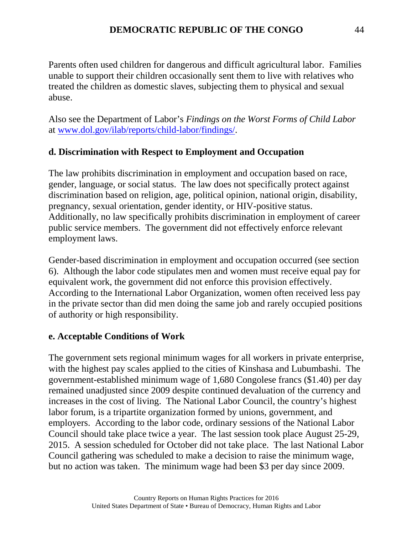Parents often used children for dangerous and difficult agricultural labor. Families unable to support their children occasionally sent them to live with relatives who treated the children as domestic slaves, subjecting them to physical and sexual abuse.

Also see the Department of Labor's *Findings on the Worst Forms of Child Labor* at [www.dol.gov/ilab/reports/child-labor/findings/.](http://www.dol.gov/ilab/reports/child-labor/findings/)

# **d. Discrimination with Respect to Employment and Occupation**

The law prohibits discrimination in employment and occupation based on race, gender, language, or social status. The law does not specifically protect against discrimination based on religion, age, political opinion, national origin, disability, pregnancy, sexual orientation, gender identity, or HIV-positive status. Additionally, no law specifically prohibits discrimination in employment of career public service members. The government did not effectively enforce relevant employment laws.

Gender-based discrimination in employment and occupation occurred (see section 6). Although the labor code stipulates men and women must receive equal pay for equivalent work, the government did not enforce this provision effectively. According to the International Labor Organization, women often received less pay in the private sector than did men doing the same job and rarely occupied positions of authority or high responsibility.

# **e. Acceptable Conditions of Work**

The government sets regional minimum wages for all workers in private enterprise, with the highest pay scales applied to the cities of Kinshasa and Lubumbashi. The government-established minimum wage of 1,680 Congolese francs (\$1.40) per day remained unadjusted since 2009 despite continued devaluation of the currency and increases in the cost of living. The National Labor Council, the country's highest labor forum, is a tripartite organization formed by unions, government, and employers. According to the labor code, ordinary sessions of the National Labor Council should take place twice a year. The last session took place August 25-29, 2015. A session scheduled for October did not take place. The last National Labor Council gathering was scheduled to make a decision to raise the minimum wage, but no action was taken. The minimum wage had been \$3 per day since 2009.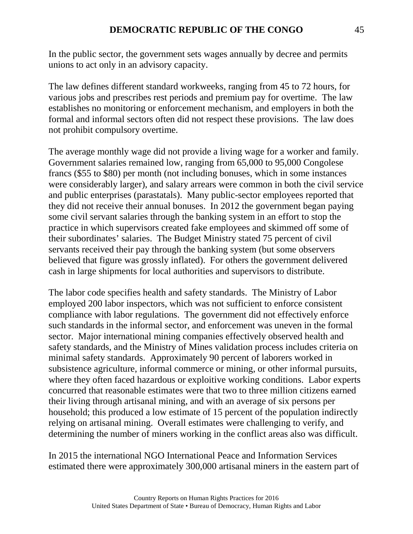In the public sector, the government sets wages annually by decree and permits unions to act only in an advisory capacity.

The law defines different standard workweeks, ranging from 45 to 72 hours, for various jobs and prescribes rest periods and premium pay for overtime. The law establishes no monitoring or enforcement mechanism, and employers in both the formal and informal sectors often did not respect these provisions. The law does not prohibit compulsory overtime.

The average monthly wage did not provide a living wage for a worker and family. Government salaries remained low, ranging from 65,000 to 95,000 Congolese francs (\$55 to \$80) per month (not including bonuses, which in some instances were considerably larger), and salary arrears were common in both the civil service and public enterprises (parastatals). Many public-sector employees reported that they did not receive their annual bonuses. In 2012 the government began paying some civil servant salaries through the banking system in an effort to stop the practice in which supervisors created fake employees and skimmed off some of their subordinates' salaries. The Budget Ministry stated 75 percent of civil servants received their pay through the banking system (but some observers believed that figure was grossly inflated). For others the government delivered cash in large shipments for local authorities and supervisors to distribute.

The labor code specifies health and safety standards. The Ministry of Labor employed 200 labor inspectors, which was not sufficient to enforce consistent compliance with labor regulations. The government did not effectively enforce such standards in the informal sector, and enforcement was uneven in the formal sector. Major international mining companies effectively observed health and safety standards, and the Ministry of Mines validation process includes criteria on minimal safety standards. Approximately 90 percent of laborers worked in subsistence agriculture, informal commerce or mining, or other informal pursuits, where they often faced hazardous or exploitive working conditions. Labor experts concurred that reasonable estimates were that two to three million citizens earned their living through artisanal mining, and with an average of six persons per household; this produced a low estimate of 15 percent of the population indirectly relying on artisanal mining. Overall estimates were challenging to verify, and determining the number of miners working in the conflict areas also was difficult.

In 2015 the international NGO International Peace and Information Services estimated there were approximately 300,000 artisanal miners in the eastern part of